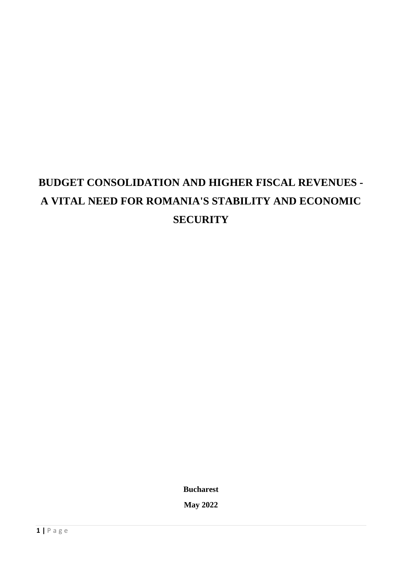# **BUDGET CONSOLIDATION AND HIGHER FISCAL REVENUES - A VITAL NEED FOR ROMANIA'S STABILITY AND ECONOMIC SECURITY**

**Bucharest**

**May 2022**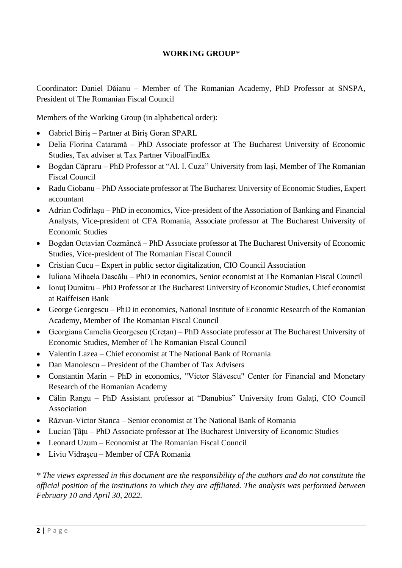#### **WORKING GROUP***\**

Coordinator: Daniel Dăianu – Member of The Romanian Academy, PhD Professor at SNSPA, President of The Romanian Fiscal Council

Members of the Working Group (in alphabetical order):

- Gabriel Biriș Partner at Biriș Goran SPARL
- Delia Florina Cataramă PhD Associate professor at The Bucharest University of Economic Studies, Tax adviser at Tax Partner ViboalFindEx
- Bogdan Căpraru PhD Professor at "Al. I. Cuza" University from Iași, Member of The Romanian Fiscal Council
- Radu Ciobanu PhD Associate professor at The Bucharest University of Economic Studies, Expert accountant
- Adrian Codîrlașu PhD in economics, Vice-president of the Association of Banking and Financial Analysts, Vice-president of CFA Romania, Associate professor at The Bucharest University of Economic Studies
- Bogdan Octavian Cozmâncă PhD Associate professor at The Bucharest University of Economic Studies, Vice-president of The Romanian Fiscal Council
- Cristian Cucu Expert in public sector digitalization, CIO Council Association
- Iuliana Mihaela Dascălu PhD in economics, Senior economist at The Romanian Fiscal Council
- Ionut Dumitru PhD Professor at The Bucharest University of Economic Studies, Chief economist at Raiffeisen Bank
- George Georgescu PhD in economics, National Institute of Economic Research of the Romanian Academy, Member of The Romanian Fiscal Council
- Georgiana Camelia Georgescu (Crețan) PhD Associate professor at The Bucharest University of Economic Studies, Member of The Romanian Fiscal Council
- Valentin Lazea Chief economist at The National Bank of Romania
- Dan Manolescu President of the Chamber of Tax Advisers
- Constantin Marin PhD in economics, "Victor Slăvescu" Center for Financial and Monetary Research of the Romanian Academy
- Călin Rangu PhD Assistant professor at "Danubius" University from Galați, CIO Council Association
- Răzvan-Victor Stanca Senior economist at The National Bank of Romania
- Lucian Țâțu PhD Associate professor at The Bucharest University of Economic Studies
- Leonard Uzum Economist at The Romanian Fiscal Council
- Liviu Vidrașcu Member of CFA Romania

*\* The views expressed in this document are the responsibility of the authors and do not constitute the official position of the institutions to which they are affiliated. The analysis was performed between February 10 and April 30, 2022.*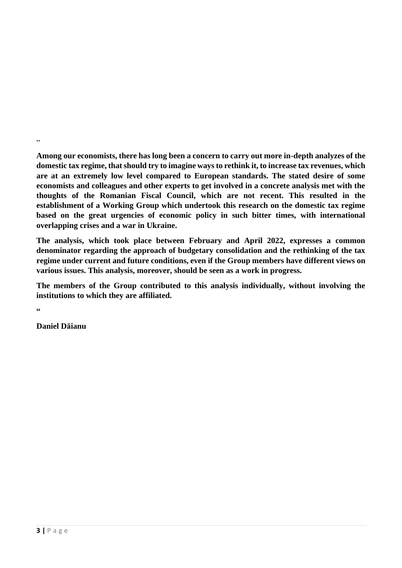**Among our economists, there has long been a concern to carry out more in-depth analyzes of the domestic tax regime, that should try to imagine ways to rethink it, to increase tax revenues, which are at an extremely low level compared to European standards. The stated desire of some economists and colleagues and other experts to get involved in a concrete analysis met with the thoughts of the Romanian Fiscal Council, which are not recent. This resulted in the establishment of a Working Group which undertook this research on the domestic tax regime based on the great urgencies of economic policy in such bitter times, with international overlapping crises and a war in Ukraine.**

**The analysis, which took place between February and April 2022, expresses a common denominator regarding the approach of budgetary consolidation and the rethinking of the tax regime under current and future conditions, even if the Group members have different views on various issues. This analysis, moreover, should be seen as a work in progress.** 

**The members of the Group contributed to this analysis individually, without involving the institutions to which they are affiliated.**

**"**

"

**Daniel Dăianu**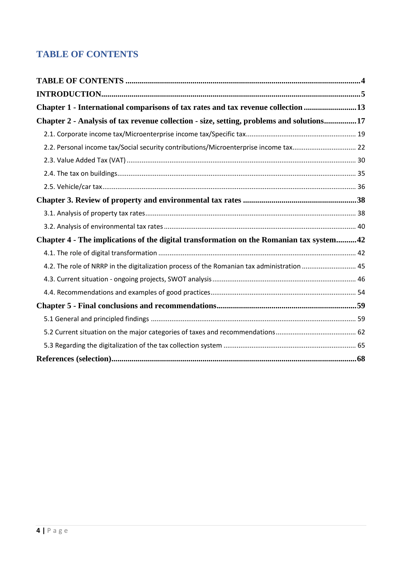## <span id="page-3-0"></span>**TABLE OF CONTENTS**

| Chapter 1 - International comparisons of tax rates and tax revenue collection 13           |  |
|--------------------------------------------------------------------------------------------|--|
| Chapter 2 - Analysis of tax revenue collection - size, setting, problems and solutions17   |  |
|                                                                                            |  |
| 2.2. Personal income tax/Social security contributions/Microenterprise income tax 22       |  |
|                                                                                            |  |
|                                                                                            |  |
|                                                                                            |  |
|                                                                                            |  |
|                                                                                            |  |
|                                                                                            |  |
| Chapter 4 - The implications of the digital transformation on the Romanian tax system42    |  |
|                                                                                            |  |
| 4.2. The role of NRRP in the digitalization process of the Romanian tax administration  45 |  |
|                                                                                            |  |
|                                                                                            |  |
|                                                                                            |  |
|                                                                                            |  |
|                                                                                            |  |
|                                                                                            |  |
|                                                                                            |  |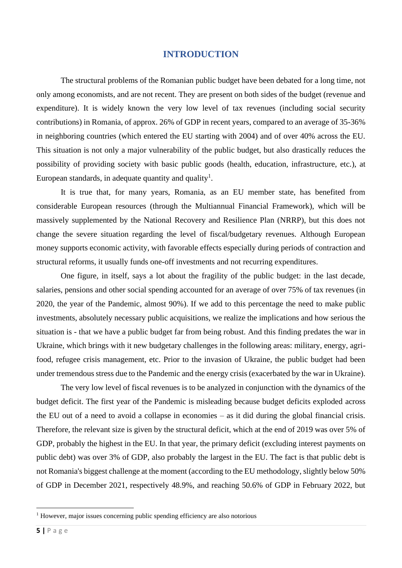#### **INTRODUCTION**

<span id="page-4-0"></span>The structural problems of the Romanian public budget have been debated for a long time, not only among economists, and are not recent. They are present on both sides of the budget (revenue and expenditure). It is widely known the very low level of tax revenues (including social security contributions) in Romania, of approx. 26% of GDP in recent years, compared to an average of 35-36% in neighboring countries (which entered the EU starting with 2004) and of over 40% across the EU. This situation is not only a major vulnerability of the public budget, but also drastically reduces the possibility of providing society with basic public goods (health, education, infrastructure, etc.), at European standards, in adequate quantity and quality<sup>1</sup>.

It is true that, for many years, Romania, as an EU member state, has benefited from considerable European resources (through the Multiannual Financial Framework), which will be massively supplemented by the National Recovery and Resilience Plan (NRRP), but this does not change the severe situation regarding the level of fiscal/budgetary revenues. Although European money supports economic activity, with favorable effects especially during periods of contraction and structural reforms, it usually funds one-off investments and not recurring expenditures.

One figure, in itself, says a lot about the fragility of the public budget: in the last decade, salaries, pensions and other social spending accounted for an average of over 75% of tax revenues (in 2020, the year of the Pandemic, almost 90%). If we add to this percentage the need to make public investments, absolutely necessary public acquisitions, we realize the implications and how serious the situation is - that we have a public budget far from being robust. And this finding predates the war in Ukraine, which brings with it new budgetary challenges in the following areas: military, energy, agrifood, refugee crisis management, etc. Prior to the invasion of Ukraine, the public budget had been under tremendous stress due to the Pandemic and the energy crisis (exacerbated by the war in Ukraine).

The very low level of fiscal revenues is to be analyzed in conjunction with the dynamics of the budget deficit. The first year of the Pandemic is misleading because budget deficits exploded across the EU out of a need to avoid a collapse in economies – as it did during the global financial crisis. Therefore, the relevant size is given by the structural deficit, which at the end of 2019 was over 5% of GDP, probably the highest in the EU. In that year, the primary deficit (excluding interest payments on public debt) was over 3% of GDP, also probably the largest in the EU. The fact is that public debt is not Romania's biggest challenge at the moment (according to the EU methodology, slightly below 50% of GDP in December 2021, respectively 48.9%, and reaching 50.6% of GDP in February 2022, but

<sup>&</sup>lt;sup>1</sup> However, major issues concerning public spending efficiency are also notorious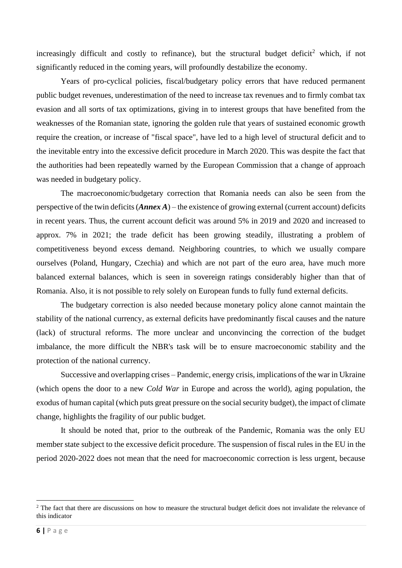increasingly difficult and costly to refinance), but the structural budget deficit<sup>2</sup> which, if not significantly reduced in the coming years, will profoundly destabilize the economy.

Years of pro-cyclical policies, fiscal/budgetary policy errors that have reduced permanent public budget revenues, underestimation of the need to increase tax revenues and to firmly combat tax evasion and all sorts of tax optimizations, giving in to interest groups that have benefited from the weaknesses of the Romanian state, ignoring the golden rule that years of sustained economic growth require the creation, or increase of "fiscal space", have led to a high level of structural deficit and to the inevitable entry into the excessive deficit procedure in March 2020. This was despite the fact that the authorities had been repeatedly warned by the European Commission that a change of approach was needed in budgetary policy.

The macroeconomic/budgetary correction that Romania needs can also be seen from the perspective of the twin deficits (*Annex A*) – the existence of growing external (current account) deficits in recent years. Thus, the current account deficit was around 5% in 2019 and 2020 and increased to approx. 7% in 2021; the trade deficit has been growing steadily, illustrating a problem of competitiveness beyond excess demand. Neighboring countries, to which we usually compare ourselves (Poland, Hungary, Czechia) and which are not part of the euro area, have much more balanced external balances, which is seen in sovereign ratings considerably higher than that of Romania. Also, it is not possible to rely solely on European funds to fully fund external deficits.

The budgetary correction is also needed because monetary policy alone cannot maintain the stability of the national currency, as external deficits have predominantly fiscal causes and the nature (lack) of structural reforms. The more unclear and unconvincing the correction of the budget imbalance, the more difficult the NBR's task will be to ensure macroeconomic stability and the protection of the national currency.

Successive and overlapping crises – Pandemic, energy crisis, implications of the war in Ukraine (which opens the door to a new *Cold War* in Europe and across the world), aging population, the exodus of human capital (which puts great pressure on the social security budget), the impact of climate change, highlights the fragility of our public budget.

It should be noted that, prior to the outbreak of the Pandemic, Romania was the only EU member state subject to the excessive deficit procedure. The suspension of fiscal rules in the EU in the period 2020-2022 does not mean that the need for macroeconomic correction is less urgent, because

<sup>&</sup>lt;sup>2</sup> The fact that there are discussions on how to measure the structural budget deficit does not invalidate the relevance of this indicator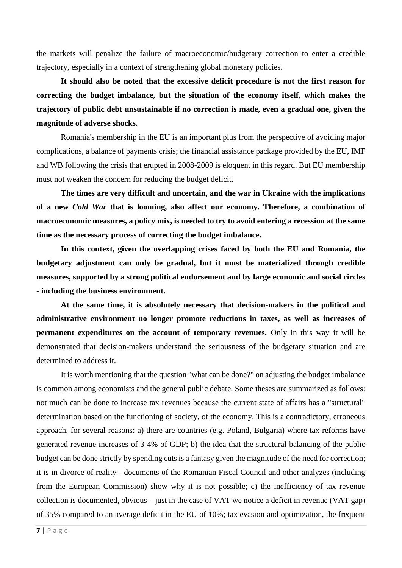the markets will penalize the failure of macroeconomic/budgetary correction to enter a credible trajectory, especially in a context of strengthening global monetary policies.

**It should also be noted that the excessive deficit procedure is not the first reason for correcting the budget imbalance, but the situation of the economy itself, which makes the trajectory of public debt unsustainable if no correction is made, even a gradual one, given the magnitude of adverse shocks.**

Romania's membership in the EU is an important plus from the perspective of avoiding major complications, a balance of payments crisis; the financial assistance package provided by the EU, IMF and WB following the crisis that erupted in 2008-2009 is eloquent in this regard. But EU membership must not weaken the concern for reducing the budget deficit.

**The times are very difficult and uncertain, and the war in Ukraine with the implications of a new** *Cold War* **that is looming, also affect our economy. Therefore, a combination of macroeconomic measures, a policy mix, is needed to try to avoid entering a recession at the same time as the necessary process of correcting the budget imbalance.**

**In this context, given the overlapping crises faced by both the EU and Romania, the budgetary adjustment can only be gradual, but it must be materialized through credible measures, supported by a strong political endorsement and by large economic and social circles - including the business environment.**

**At the same time, it is absolutely necessary that decision-makers in the political and administrative environment no longer promote reductions in taxes, as well as increases of permanent expenditures on the account of temporary revenues.** Only in this way it will be demonstrated that decision-makers understand the seriousness of the budgetary situation and are determined to address it.

It is worth mentioning that the question "what can be done?" on adjusting the budget imbalance is common among economists and the general public debate. Some theses are summarized as follows: not much can be done to increase tax revenues because the current state of affairs has a "structural" determination based on the functioning of society, of the economy. This is a contradictory, erroneous approach, for several reasons: a) there are countries (e.g. Poland, Bulgaria) where tax reforms have generated revenue increases of 3-4% of GDP; b) the idea that the structural balancing of the public budget can be done strictly by spending cuts is a fantasy given the magnitude of the need for correction; it is in divorce of reality - documents of the Romanian Fiscal Council and other analyzes (including from the European Commission) show why it is not possible; c) the inefficiency of tax revenue collection is documented, obvious – just in the case of VAT we notice a deficit in revenue (VAT gap) of 35% compared to an average deficit in the EU of 10%; tax evasion and optimization, the frequent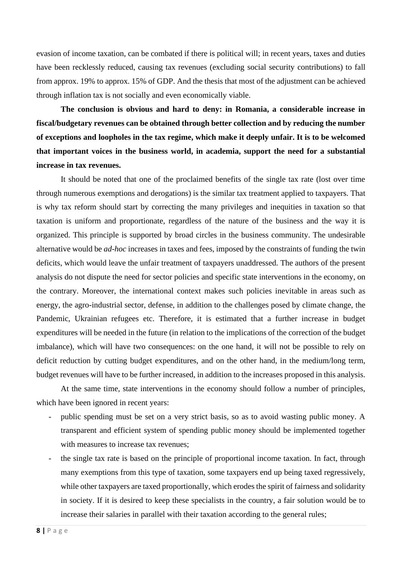evasion of income taxation, can be combated if there is political will; in recent years, taxes and duties have been recklessly reduced, causing tax revenues (excluding social security contributions) to fall from approx. 19% to approx. 15% of GDP. And the thesis that most of the adjustment can be achieved through inflation tax is not socially and even economically viable.

**The conclusion is obvious and hard to deny: in Romania, a considerable increase in fiscal/budgetary revenues can be obtained through better collection and by reducing the number of exceptions and loopholes in the tax regime, which make it deeply unfair. It is to be welcomed that important voices in the business world, in academia, support the need for a substantial increase in tax revenues.**

It should be noted that one of the proclaimed benefits of the single tax rate (lost over time through numerous exemptions and derogations) is the similar tax treatment applied to taxpayers. That is why tax reform should start by correcting the many privileges and inequities in taxation so that taxation is uniform and proportionate, regardless of the nature of the business and the way it is organized. This principle is supported by broad circles in the business community. The undesirable alternative would be *ad-hoc* increases in taxes and fees, imposed by the constraints of funding the twin deficits, which would leave the unfair treatment of taxpayers unaddressed. The authors of the present analysis do not dispute the need for sector policies and specific state interventions in the economy, on the contrary. Moreover, the international context makes such policies inevitable in areas such as energy, the agro-industrial sector, defense, in addition to the challenges posed by climate change, the Pandemic, Ukrainian refugees etc. Therefore, it is estimated that a further increase in budget expenditures will be needed in the future (in relation to the implications of the correction of the budget imbalance), which will have two consequences: on the one hand, it will not be possible to rely on deficit reduction by cutting budget expenditures, and on the other hand, in the medium/long term, budget revenues will have to be further increased, in addition to the increases proposed in this analysis.

At the same time, state interventions in the economy should follow a number of principles, which have been ignored in recent years:

- public spending must be set on a very strict basis, so as to avoid wasting public money. A transparent and efficient system of spending public money should be implemented together with measures to increase tax revenues;
- the single tax rate is based on the principle of proportional income taxation. In fact, through many exemptions from this type of taxation, some taxpayers end up being taxed regressively, while other taxpayers are taxed proportionally, which erodes the spirit of fairness and solidarity in society. If it is desired to keep these specialists in the country, a fair solution would be to increase their salaries in parallel with their taxation according to the general rules;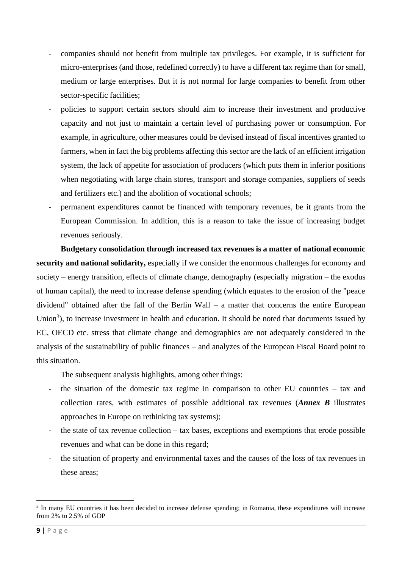- companies should not benefit from multiple tax privileges. For example, it is sufficient for micro-enterprises (and those, redefined correctly) to have a different tax regime than for small, medium or large enterprises. But it is not normal for large companies to benefit from other sector-specific facilities;
- policies to support certain sectors should aim to increase their investment and productive capacity and not just to maintain a certain level of purchasing power or consumption. For example, in agriculture, other measures could be devised instead of fiscal incentives granted to farmers, when in fact the big problems affecting this sector are the lack of an efficient irrigation system, the lack of appetite for association of producers (which puts them in inferior positions when negotiating with large chain stores, transport and storage companies, suppliers of seeds and fertilizers etc.) and the abolition of vocational schools;
- permanent expenditures cannot be financed with temporary revenues, be it grants from the European Commission. In addition, this is a reason to take the issue of increasing budget revenues seriously.

**Budgetary consolidation through increased tax revenues is a matter of national economic security and national solidarity,** especially if we consider the enormous challenges for economy and society – energy transition, effects of climate change, demography (especially migration – the exodus of human capital), the need to increase defense spending (which equates to the erosion of the "peace dividend" obtained after the fall of the Berlin Wall – a matter that concerns the entire European Union<sup>3</sup>), to increase investment in health and education. It should be noted that documents issued by EC, OECD etc. stress that climate change and demographics are not adequately considered in the analysis of the sustainability of public finances – and analyzes of the European Fiscal Board point to this situation.

The subsequent analysis highlights, among other things:

- the situation of the domestic tax regime in comparison to other EU countries tax and collection rates, with estimates of possible additional tax revenues (*Annex B* illustrates approaches in Europe on rethinking tax systems);
- the state of tax revenue collection tax bases, exceptions and exemptions that erode possible revenues and what can be done in this regard;
- the situation of property and environmental taxes and the causes of the loss of tax revenues in these areas;

<sup>&</sup>lt;sup>3</sup> In many EU countries it has been decided to increase defense spending; in Romania, these expenditures will increase from 2% to 2.5% of GDP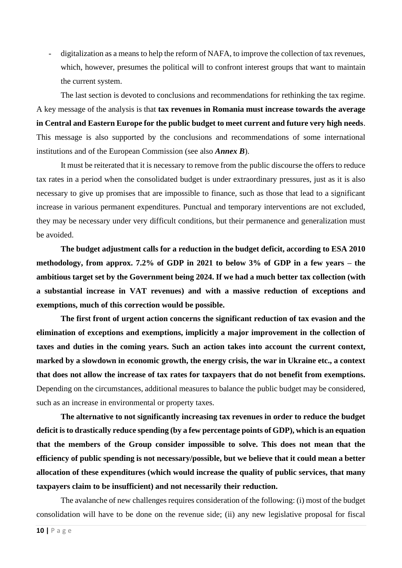digitalization as a means to help the reform of NAFA, to improve the collection of tax revenues, which, however, presumes the political will to confront interest groups that want to maintain the current system.

The last section is devoted to conclusions and recommendations for rethinking the tax regime. A key message of the analysis is that **tax revenues in Romania must increase towards the average in Central and Eastern Europe for the public budget to meet current and future very high needs**. This message is also supported by the conclusions and recommendations of some international institutions and of the European Commission (see also *Annex B*).

It must be reiterated that it is necessary to remove from the public discourse the offers to reduce tax rates in a period when the consolidated budget is under extraordinary pressures, just as it is also necessary to give up promises that are impossible to finance, such as those that lead to a significant increase in various permanent expenditures. Punctual and temporary interventions are not excluded, they may be necessary under very difficult conditions, but their permanence and generalization must be avoided.

**The budget adjustment calls for a reduction in the budget deficit, according to ESA 2010 methodology, from approx. 7.2% of GDP in 2021 to below 3% of GDP in a few years – the ambitious target set by the Government being 2024. If we had a much better tax collection (with a substantial increase in VAT revenues) and with a massive reduction of exceptions and exemptions, much of this correction would be possible.**

**The first front of urgent action concerns the significant reduction of tax evasion and the elimination of exceptions and exemptions, implicitly a major improvement in the collection of taxes and duties in the coming years. Such an action takes into account the current context, marked by a slowdown in economic growth, the energy crisis, the war in Ukraine etc., a context that does not allow the increase of tax rates for taxpayers that do not benefit from exemptions.**  Depending on the circumstances, additional measures to balance the public budget may be considered, such as an increase in environmental or property taxes.

**The alternative to not significantly increasing tax revenues in order to reduce the budget deficit is to drastically reduce spending (by a few percentage points of GDP), which is an equation that the members of the Group consider impossible to solve. This does not mean that the efficiency of public spending is not necessary/possible, but we believe that it could mean a better allocation of these expenditures (which would increase the quality of public services, that many taxpayers claim to be insufficient) and not necessarily their reduction.**

The avalanche of new challenges requires consideration of the following: (i) most of the budget consolidation will have to be done on the revenue side; (ii) any new legislative proposal for fiscal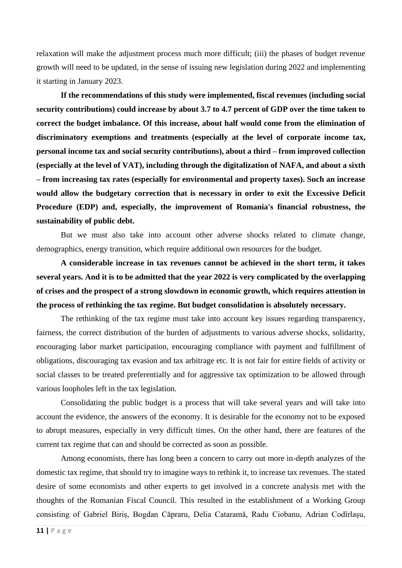relaxation will make the adjustment process much more difficult; (iii) the phases of budget revenue growth will need to be updated, in the sense of issuing new legislation during 2022 and implementing it starting in January 2023.

**If the recommendations of this study were implemented, fiscal revenues (including social security contributions) could increase by about 3.7 to 4.7 percent of GDP over the time taken to correct the budget imbalance. Of this increase, about half would come from the elimination of discriminatory exemptions and treatments (especially at the level of corporate income tax, personal income tax and social security contributions), about a third – from improved collection (especially at the level of VAT), including through the digitalization of NAFA, and about a sixth – from increasing tax rates (especially for environmental and property taxes). Such an increase would allow the budgetary correction that is necessary in order to exit the Excessive Deficit Procedure (EDP) and, especially, the improvement of Romania's financial robustness, the sustainability of public debt.**

But we must also take into account other adverse shocks related to climate change, demographics, energy transition, which require additional own resources for the budget.

**A considerable increase in tax revenues cannot be achieved in the short term, it takes several years. And it is to be admitted that the year 2022 is very complicated by the overlapping of crises and the prospect of a strong slowdown in economic growth, which requires attention in the process of rethinking the tax regime. But budget consolidation is absolutely necessary.**

The rethinking of the tax regime must take into account key issues regarding transparency, fairness, the correct distribution of the burden of adjustments to various adverse shocks, solidarity, encouraging labor market participation, encouraging compliance with payment and fulfillment of obligations, discouraging tax evasion and tax arbitrage etc. It is not fair for entire fields of activity or social classes to be treated preferentially and for aggressive tax optimization to be allowed through various loopholes left in the tax legislation.

Consolidating the public budget is a process that will take several years and will take into account the evidence, the answers of the economy. It is desirable for the economy not to be exposed to abrupt measures, especially in very difficult times. On the other hand, there are features of the current tax regime that can and should be corrected as soon as possible.

Among economists, there has long been a concern to carry out more in-depth analyzes of the domestic tax regime, that should try to imagine ways to rethink it, to increase tax revenues. The stated desire of some economists and other experts to get involved in a concrete analysis met with the thoughts of the Romanian Fiscal Council. This resulted in the establishment of a Working Group consisting of Gabriel Biriș, Bogdan Căpraru, Delia Cataramă, Radu Ciobanu, Adrian Codîrlașu,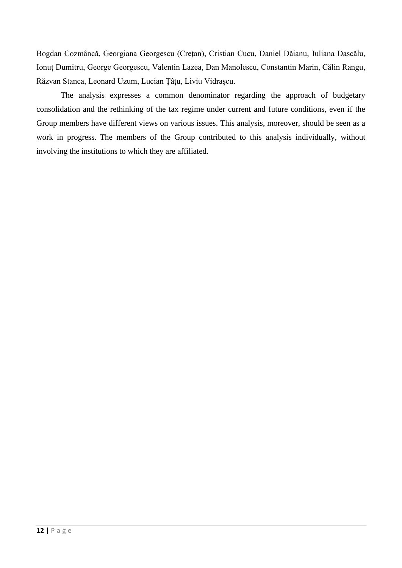Bogdan Cozmâncă, Georgiana Georgescu (Crețan), Cristian Cucu, Daniel Dăianu, Iuliana Dascălu, Ionuț Dumitru, George Georgescu, Valentin Lazea, Dan Manolescu, Constantin Marin, Călin Rangu, Răzvan Stanca, Leonard Uzum, Lucian Țâțu, Liviu Vidrașcu.

The analysis expresses a common denominator regarding the approach of budgetary consolidation and the rethinking of the tax regime under current and future conditions, even if the Group members have different views on various issues. This analysis, moreover, should be seen as a work in progress. The members of the Group contributed to this analysis individually, without involving the institutions to which they are affiliated.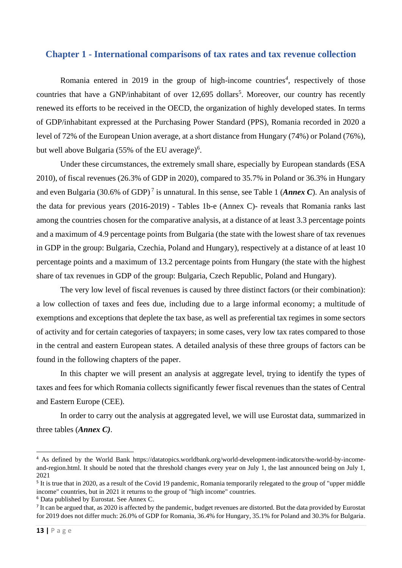#### <span id="page-12-0"></span>**Chapter 1 - International comparisons of tax rates and tax revenue collection**

Romania entered in 2019 in the group of high-income countries<sup>4</sup>, respectively of those countries that have a GNP/inhabitant of over 12,695 dollars<sup>5</sup>. Moreover, our country has recently renewed its efforts to be received in the OECD, the organization of highly developed states. In terms of GDP/inhabitant expressed at the Purchasing Power Standard (PPS), Romania recorded in 2020 a level of 72% of the European Union average, at a short distance from Hungary (74%) or Poland (76%), but well above Bulgaria (55% of the EU average)<sup>6</sup>.

Under these circumstances, the extremely small share, especially by European standards (ESA 2010), of fiscal revenues (26.3% of GDP in 2020), compared to 35.7% in Poland or 36.3% in Hungary and even Bulgaria (30.6% of GDP) <sup>7</sup> is unnatural. In this sense, see Table 1 (*Annex C*). An analysis of the data for previous years (2016-2019) - Tables 1b-e (Annex C)- reveals that Romania ranks last among the countries chosen for the comparative analysis, at a distance of at least 3.3 percentage points and a maximum of 4.9 percentage points from Bulgaria (the state with the lowest share of tax revenues in GDP in the group: Bulgaria, Czechia, Poland and Hungary), respectively at a distance of at least 10 percentage points and a maximum of 13.2 percentage points from Hungary (the state with the highest share of tax revenues in GDP of the group: Bulgaria, Czech Republic, Poland and Hungary).

The very low level of fiscal revenues is caused by three distinct factors (or their combination): a low collection of taxes and fees due, including due to a large informal economy; a multitude of exemptions and exceptions that deplete the tax base, as well as preferential tax regimes in some sectors of activity and for certain categories of taxpayers; in some cases, very low tax rates compared to those in the central and eastern European states. A detailed analysis of these three groups of factors can be found in the following chapters of the paper.

In this chapter we will present an analysis at aggregate level, trying to identify the types of taxes and fees for which Romania collects significantly fewer fiscal revenues than the states of Central and Eastern Europe (CEE).

In order to carry out the analysis at aggregated level, we will use Eurostat data, summarized in three tables (*Annex C)*.

<sup>4</sup> As defined by the World Bank [https://datatopics.worldbank.org/world-development-indicators/the-world-by-income](https://datatopics.worldbank.org/world-development-indicators/the-world-by-income-and-region.html)[and-region.html.](https://datatopics.worldbank.org/world-development-indicators/the-world-by-income-and-region.html) It should be noted that the threshold changes every year on July 1, the last announced being on July 1, 2021

<sup>&</sup>lt;sup>5</sup> It is true that in 2020, as a result of the Covid 19 pandemic, Romania temporarily relegated to the group of "upper middle" income" countries, but in 2021 it returns to the group of "high income" countries.

<sup>6</sup> Data published by Eurostat. See Annex C.

<sup>&</sup>lt;sup>7</sup> It can be argued that, as 2020 is affected by the pandemic, budget revenues are distorted. But the data provided by Eurostat for 2019 does not differ much: 26.0% of GDP for Romania, 36.4% for Hungary, 35.1% for Poland and 30.3% for Bulgaria.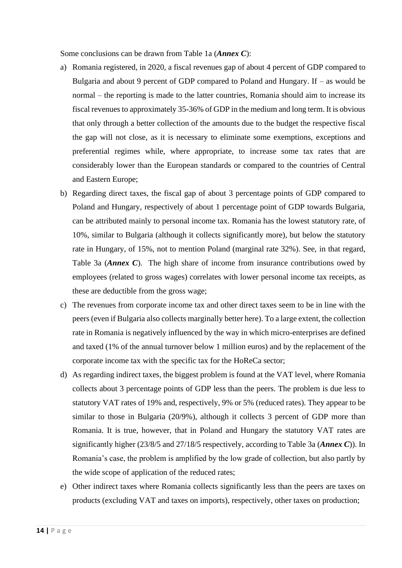Some conclusions can be drawn from Table 1a (*Annex C*):

- a) Romania registered, in 2020, a fiscal revenues gap of about 4 percent of GDP compared to Bulgaria and about 9 percent of GDP compared to Poland and Hungary. If – as would be normal – the reporting is made to the latter countries, Romania should aim to increase its fiscal revenues to approximately 35-36% of GDP in the medium and long term. It is obvious that only through a better collection of the amounts due to the budget the respective fiscal the gap will not close, as it is necessary to eliminate some exemptions, exceptions and preferential regimes while, where appropriate, to increase some tax rates that are considerably lower than the European standards or compared to the countries of Central and Eastern Europe;
- b) Regarding direct taxes, the fiscal gap of about 3 percentage points of GDP compared to Poland and Hungary, respectively of about 1 percentage point of GDP towards Bulgaria, can be attributed mainly to personal income tax. Romania has the lowest statutory rate, of 10%, similar to Bulgaria (although it collects significantly more), but below the statutory rate in Hungary, of 15%, not to mention Poland (marginal rate 32%). See, in that regard, Table 3a (*Annex C*). The high share of income from insurance contributions owed by employees (related to gross wages) correlates with lower personal income tax receipts, as these are deductible from the gross wage;
- c) The revenues from corporate income tax and other direct taxes seem to be in line with the peers (even if Bulgaria also collects marginally better here). To a large extent, the collection rate in Romania is negatively influenced by the way in which micro-enterprises are defined and taxed (1% of the annual turnover below 1 million euros) and by the replacement of the corporate income tax with the specific tax for the HoReCa sector;
- d) As regarding indirect taxes, the biggest problem is found at the VAT level, where Romania collects about 3 percentage points of GDP less than the peers. The problem is due less to statutory VAT rates of 19% and, respectively, 9% or 5% (reduced rates). They appear to be similar to those in Bulgaria (20/9%), although it collects 3 percent of GDP more than Romania. It is true, however, that in Poland and Hungary the statutory VAT rates are significantly higher (23/8/5 and 27/18/5 respectively, according to Table 3a (*Annex C*)). In Romania's case, the problem is amplified by the low grade of collection, but also partly by the wide scope of application of the reduced rates;
- e) Other indirect taxes where Romania collects significantly less than the peers are taxes on products (excluding VAT and taxes on imports), respectively, other taxes on production;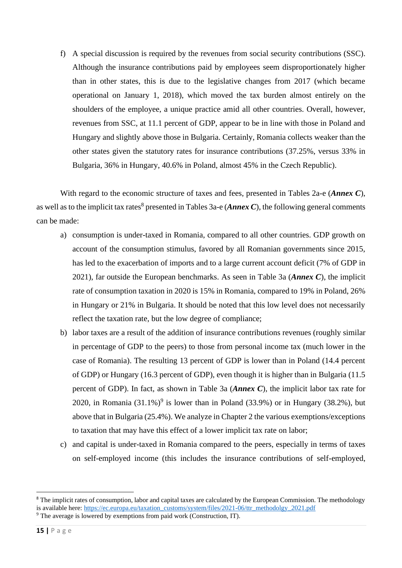f) A special discussion is required by the revenues from social security contributions (SSC). Although the insurance contributions paid by employees seem disproportionately higher than in other states, this is due to the legislative changes from 2017 (which became operational on January 1, 2018), which moved the tax burden almost entirely on the shoulders of the employee, a unique practice amid all other countries. Overall, however, revenues from SSC, at 11.1 percent of GDP, appear to be in line with those in Poland and Hungary and slightly above those in Bulgaria. Certainly, Romania collects weaker than the other states given the statutory rates for insurance contributions (37.25%, versus 33% in Bulgaria, 36% in Hungary, 40.6% in Poland, almost 45% in the Czech Republic).

With regard to the economic structure of taxes and fees, presented in Tables 2a-e (*Annex C*), as well as to the implicit tax rates<sup>8</sup> presented in Tables 3a-e (*Annex C*), the following general comments can be made:

- a) consumption is under-taxed in Romania, compared to all other countries. GDP growth on account of the consumption stimulus, favored by all Romanian governments since 2015, has led to the exacerbation of imports and to a large current account deficit (7% of GDP in 2021), far outside the European benchmarks. As seen in Table 3a (*Annex C*), the implicit rate of consumption taxation in 2020 is 15% in Romania, compared to 19% in Poland, 26% in Hungary or 21% in Bulgaria. It should be noted that this low level does not necessarily reflect the taxation rate, but the low degree of compliance;
- b) labor taxes are a result of the addition of insurance contributions revenues (roughly similar in percentage of GDP to the peers) to those from personal income tax (much lower in the case of Romania). The resulting 13 percent of GDP is lower than in Poland (14.4 percent of GDP) or Hungary (16.3 percent of GDP), even though it is higher than in Bulgaria (11.5 percent of GDP). In fact, as shown in Table 3a (*Annex C*), the implicit labor tax rate for 2020, in Romania  $(31.1\%)^9$  is lower than in Poland  $(33.9\%)$  or in Hungary  $(38.2\%)$ , but above that in Bulgaria (25.4%). We analyze in Chapter 2 the various exemptions/exceptions to taxation that may have this effect of a lower implicit tax rate on labor;
- c) and capital is under-taxed in Romania compared to the peers, especially in terms of taxes on self-employed income (this includes the insurance contributions of self-employed,

<sup>&</sup>lt;sup>8</sup> The implicit rates of consumption, labor and capital taxes are calculated by the European Commission. The methodology is available here: [https://ec.europa.eu/taxation\\_customs/system/files/2021-06/ttr\\_methodolgy\\_2021.pdf](https://ec.europa.eu/taxation_customs/system/files/2021-06/ttr_methodolgy_2021.pdf) <sup>9</sup> The average is lowered by exemptions from paid work (Construction, IT).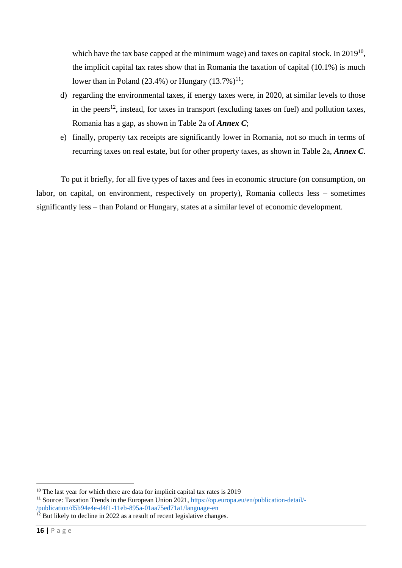which have the tax base capped at the minimum wage) and taxes on capital stock. In  $2019^{10}$ , the implicit capital tax rates show that in Romania the taxation of capital (10.1%) is much lower than in Poland (23.4%) or Hungary  $(13.7\%)^{11}$ ;

- d) regarding the environmental taxes, if energy taxes were, in 2020, at similar levels to those in the peers<sup>12</sup>, instead, for taxes in transport (excluding taxes on fuel) and pollution taxes, Romania has a gap, as shown in Table 2a of *Annex C*;
- e) finally, property tax receipts are significantly lower in Romania, not so much in terms of recurring taxes on real estate, but for other property taxes, as shown in Table 2a, *Annex C*.

To put it briefly, for all five types of taxes and fees in economic structure (on consumption, on labor, on capital, on environment, respectively on property), Romania collects less – sometimes significantly less – than Poland or Hungary, states at a similar level of economic development.

<sup>&</sup>lt;sup>10</sup> The last year for which there are data for implicit capital tax rates is 2019

<sup>&</sup>lt;sup>11</sup> Source: Taxation Trends in the European Union 2021, [https://op.europa.eu/en/publication-detail/-](https://op.europa.eu/en/publication-detail/-/publication/d5b94e4e-d4f1-11eb-895a-01aa75ed71a1/language-en) [/publication/d5b94e4e-d4f1-11eb-895a-01aa75ed71a1/language-en](https://op.europa.eu/en/publication-detail/-/publication/d5b94e4e-d4f1-11eb-895a-01aa75ed71a1/language-en)

 $12$  But likely to decline in 2022 as a result of recent legislative changes.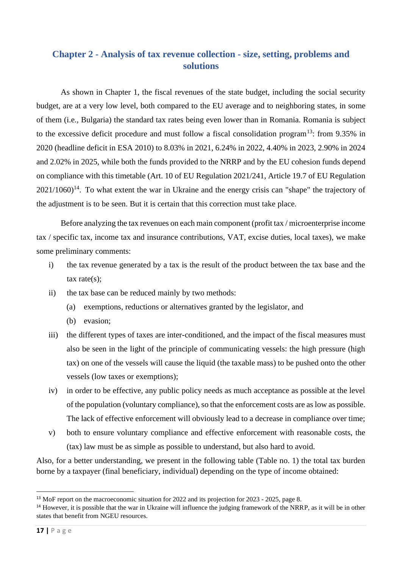## <span id="page-16-0"></span>**Chapter 2 - Analysis of tax revenue collection - size, setting, problems and solutions**

As shown in Chapter 1, the fiscal revenues of the state budget, including the social security budget, are at a very low level, both compared to the EU average and to neighboring states, in some of them (i.e., Bulgaria) the standard tax rates being even lower than in Romania. Romania is subject to the excessive deficit procedure and must follow a fiscal consolidation program<sup>13</sup>: from 9.35% in 2020 (headline deficit in ESA 2010) to 8.03% in 2021, 6.24% in 2022, 4.40% in 2023, 2.90% in 2024 and 2.02% in 2025, while both the funds provided to the NRRP and by the EU cohesion funds depend on compliance with this timetable (Art. 10 of EU Regulation 2021/241, Article 19.7 of EU Regulation  $2021/1060$ <sup>14</sup>. To what extent the war in Ukraine and the energy crisis can "shape" the trajectory of the adjustment is to be seen. But it is certain that this correction must take place.

Before analyzing the tax revenues on each main component (profit tax / microenterprise income tax / specific tax, income tax and insurance contributions, VAT, excise duties, local taxes), we make some preliminary comments:

- i) the tax revenue generated by a tax is the result of the product between the tax base and the tax rate(s);
- ii) the tax base can be reduced mainly by two methods:
	- (a) exemptions, reductions or alternatives granted by the legislator, and
	- (b) evasion;
- iii) the different types of taxes are inter-conditioned, and the impact of the fiscal measures must also be seen in the light of the principle of communicating vessels: the high pressure (high tax) on one of the vessels will cause the liquid (the taxable mass) to be pushed onto the other vessels (low taxes or exemptions);
- iv) in order to be effective, any public policy needs as much acceptance as possible at the level of the population (voluntary compliance), so that the enforcement costs are as low as possible. The lack of effective enforcement will obviously lead to a decrease in compliance over time;
- v) both to ensure voluntary compliance and effective enforcement with reasonable costs, the (tax) law must be as simple as possible to understand, but also hard to avoid.

Also, for a better understanding, we present in the following table (Table no. 1) the total tax burden borne by a taxpayer (final beneficiary, individual) depending on the type of income obtained:

<sup>&</sup>lt;sup>13</sup> MoF report on the macroeconomic situation for 2022 and its projection for 2023 - 2025, page 8.

<sup>&</sup>lt;sup>14</sup> However, it is possible that the war in Ukraine will influence the judging framework of the NRRP, as it will be in other states that benefit from NGEU resources.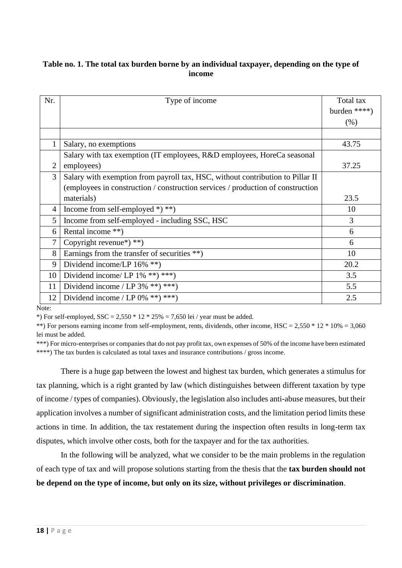#### **Table no. 1. The total tax burden borne by an individual taxpayer, depending on the type of income**

| Nr.            | Type of income                                                                  | Total tax    |
|----------------|---------------------------------------------------------------------------------|--------------|
|                |                                                                                 | burden ****) |
|                |                                                                                 | (% )         |
|                |                                                                                 |              |
| 1              | Salary, no exemptions                                                           | 43.75        |
|                | Salary with tax exemption (IT employees, R&D employees, HoreCa seasonal         |              |
| $\overline{2}$ | employees)                                                                      | 37.25        |
| 3              | Salary with exemption from payroll tax, HSC, without contribution to Pillar II  |              |
|                | (employees in construction / construction services / production of construction |              |
|                | materials)                                                                      | 23.5         |
| 4              | Income from self-employed *) **)                                                | 10           |
| 5              | Income from self-employed - including SSC, HSC                                  | 3            |
| 6              | Rental income **)                                                               | 6            |
| 7              | Copyright revenue*) **)                                                         | 6            |
| 8              | Earnings from the transfer of securities $**$ )                                 | 10           |
| 9              | Dividend income/LP $16\%$ **)                                                   | 20.2         |
| 10             | Dividend income/ LP $1\%$ **) ***)                                              | 3.5          |
| 11             | Dividend income / LP $3\%$ **) ***)                                             | 5.5          |
| 12             | Dividend income / LP $0\%$ **) ***)                                             | 2.5          |

Note:

\*) For self-employed,  $SSC = 2,550 * 12 * 25% = 7,650$  lei / year must be added.

\*\*) For persons earning income from self-employment, rents, dividends, other income,  $HSC = 2,550 * 12 * 10% = 3,060$ lei must be added.

\*\*\*) For micro-enterprises or companies that do not pay profit tax, own expenses of 50% of the income have been estimated \*\*\*\*) The tax burden is calculated as total taxes and insurance contributions / gross income.

There is a huge gap between the lowest and highest tax burden, which generates a stimulus for tax planning, which is a right granted by law (which distinguishes between different taxation by type of income / types of companies). Obviously, the legislation also includes anti-abuse measures, but their application involves a number of significant administration costs, and the limitation period limits these actions in time. In addition, the tax restatement during the inspection often results in long-term tax disputes, which involve other costs, both for the taxpayer and for the tax authorities.

In the following will be analyzed, what we consider to be the main problems in the regulation of each type of tax and will propose solutions starting from the thesis that the **tax burden should not be depend on the type of income, but only on its size, without privileges or discrimination**.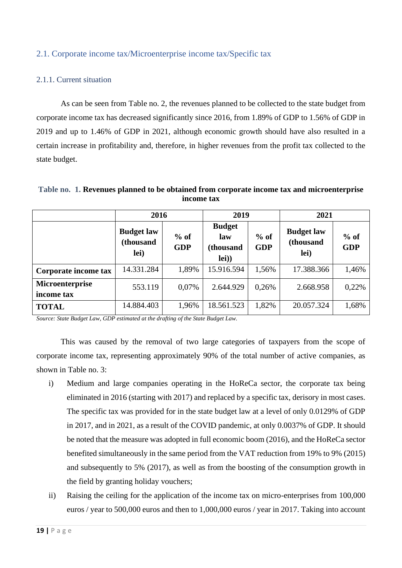#### <span id="page-18-0"></span>2.1. Corporate income tax/Microenterprise income tax/Specific tax

#### 2.1.1. Current situation

As can be seen from Table no. 2, the revenues planned to be collected to the state budget from corporate income tax has decreased significantly since 2016, from 1.89% of GDP to 1.56% of GDP in 2019 and up to 1.46% of GDP in 2021, although economic growth should have also resulted in a certain increase in profitability and, therefore, in higher revenues from the profit tax collected to the state budget.

|            |  | Table no. 1. Revenues planned to be obtained from corporate income tax and microenterprise |  |  |  |  |  |
|------------|--|--------------------------------------------------------------------------------------------|--|--|--|--|--|
| income tax |  |                                                                                            |  |  |  |  |  |
|            |  |                                                                                            |  |  |  |  |  |

|                               | 2016                                   |                      | 2019                                       |                      | 2021                                   |                      |
|-------------------------------|----------------------------------------|----------------------|--------------------------------------------|----------------------|----------------------------------------|----------------------|
|                               | <b>Budget law</b><br>(thousand<br>lei) | $%$ of<br><b>GDP</b> | <b>Budget</b><br>law<br>(thousand<br>lei)) | $%$ of<br><b>GDP</b> | <b>Budget law</b><br>(thousand<br>lei) | $%$ of<br><b>GDP</b> |
| Corporate income tax          | 14.331.284                             | 1,89%                | 15.916.594                                 | 1,56%                | 17.388.366                             | 1,46%                |
| Microenterprise<br>income tax | 553.119                                | 0,07%                | 2.644.929                                  | 0,26%                | 2.668.958                              | 0,22%                |
| <b>TOTAL</b>                  | 14.884.403                             | 1,96%                | 18.561.523                                 | 1,82%                | 20.057.324                             | 1,68%                |

*Source: State Budget Law, GDP estimated at the drafting of the State Budget Law.*

This was caused by the removal of two large categories of taxpayers from the scope of corporate income tax, representing approximately 90% of the total number of active companies, as shown in Table no. 3:

- i) Medium and large companies operating in the HoReCa sector, the corporate tax being eliminated in 2016 (starting with 2017) and replaced by a specific tax, derisory in most cases. The specific tax was provided for in the state budget law at a level of only 0.0129% of GDP in 2017, and in 2021, as a result of the COVID pandemic, at only 0.0037% of GDP. It should be noted that the measure was adopted in full economic boom (2016), and the HoReCa sector benefited simultaneously in the same period from the VAT reduction from 19% to 9% (2015) and subsequently to 5% (2017), as well as from the boosting of the consumption growth in the field by granting holiday vouchers;
- ii) Raising the ceiling for the application of the income tax on micro-enterprises from 100,000 euros / year to 500,000 euros and then to 1,000,000 euros / year in 2017. Taking into account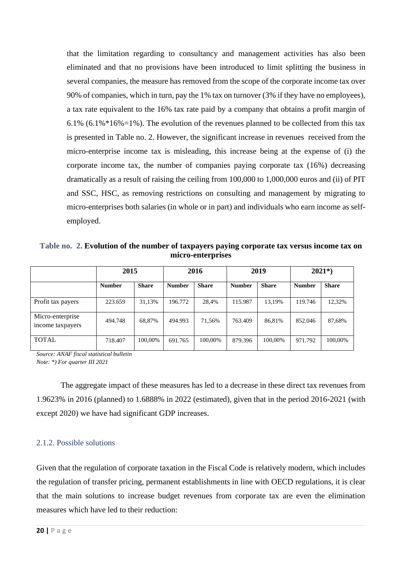that the limitation regarding to consultancy and management activities has also been eliminated and that no provisions have been introduced to limit splitting the business in several companies, the measure has removed from the scope of the corporate income tax over 90% of companies, which in turn, pay the 1% tax on turnover (3% if they have no employees), a tax rate equivalent to the 16% tax rate paid by a company that obtains a profit margin of 6.1% (6.1% $*16\% = 1\%$ ). The evolution of the revenues planned to be collected from this tax is presented in Table no. 2. However, the significant increase in revenues received from the micro-enterprise income tax is misleading, this increase being at the expense of (i) the corporate income tax, the number of companies paying corporate tax (16%) decreasing dramatically as a result of raising the ceiling from 100,000 to 1,000,000 euros and (ii) of PIT and SSC, HSC, as removing restrictions on consulting and management by migrating to micro-enterprises both salaries (in whole or in part) and individuals who earn income as selfemployed.

**Table no. 2. Evolution of the number of taxpayers paying corporate tax versus income tax on micro-enterprises**

|                                      | 2015          |              | 2016          |              | 2019          |              | $2021*)$      |              |
|--------------------------------------|---------------|--------------|---------------|--------------|---------------|--------------|---------------|--------------|
|                                      | <b>Number</b> | <b>Share</b> | <b>Number</b> | <b>Share</b> | <b>Number</b> | <b>Share</b> | <b>Number</b> | <b>Share</b> |
| Profit tax payers                    | 223.659       | 31.13%       | 196.772       | 28,4%        | 115.987       | 13.19%       | 119.746       | 12,32%       |
| Micro-enterprise<br>income taxpayers | 494.748       | 68,87%       | 494.993       | 71,56%       | 763.409       | 86,81%       | 852.046       | 87,68%       |
| <b>TOTAL</b>                         | 718.407       | 100,00%      | 691.765       | 100,00%      | 879.396       | 100,00%      | 971.792       | 100,00%      |

*Source: ANAF fiscal statistical bulletin Note: \*) For quarter III 2021*

The aggregate impact of these measures has led to a decrease in these direct tax revenues from 1.9623% in 2016 (planned) to 1.6888% in 2022 (estimated), given that in the period 2016-2021 (with except 2020) we have had significant GDP increases.

#### 2.1.2. Possible solutions

Given that the regulation of corporate taxation in the Fiscal Code is relatively modern, which includes the regulation of transfer pricing, permanent establishments in line with OECD regulations, it is clear that the main solutions to increase budget revenues from corporate tax are even the elimination measures which have led to their reduction: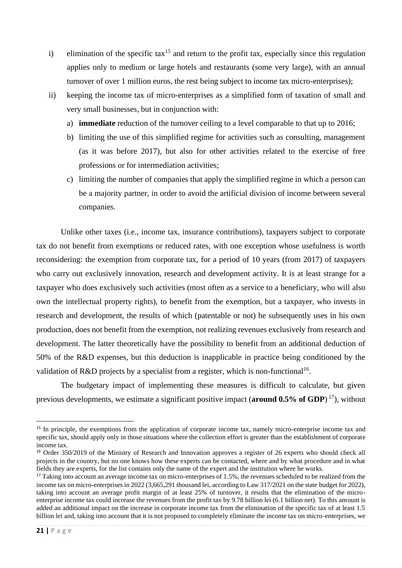- i) elimination of the specific tax<sup>15</sup> and return to the profit tax, especially since this regulation applies only to medium or large hotels and restaurants (some very large), with an annual turnover of over 1 million euros, the rest being subject to income tax micro-enterprises);
- ii) keeping the income tax of micro-enterprises as a simplified form of taxation of small and very small businesses, but in conjunction with:
	- a) **immediate** reduction of the turnover ceiling to a level comparable to that up to 2016;
	- b) limiting the use of this simplified regime for activities such as consulting, management (as it was before 2017), but also for other activities related to the exercise of free professions or for intermediation activities;
	- c) limiting the number of companies that apply the simplified regime in which a person can be a majority partner, in order to avoid the artificial division of income between several companies.

Unlike other taxes (i.e., income tax, insurance contributions), taxpayers subject to corporate tax do not benefit from exemptions or reduced rates, with one exception whose usefulness is worth reconsidering: the exemption from corporate tax, for a period of 10 years (from 2017) of taxpayers who carry out exclusively innovation, research and development activity. It is at least strange for a taxpayer who does exclusively such activities (most often as a service to a beneficiary, who will also own the intellectual property rights), to benefit from the exemption, but a taxpayer, who invests in research and development, the results of which (patentable or not) he subsequently uses in his own production, does not benefit from the exemption, not realizing revenues exclusively from research and development. The latter theoretically have the possibility to benefit from an additional deduction of 50% of the R&D expenses, but this deduction is inapplicable in practice being conditioned by the validation of R&D projects by a specialist from a register, which is non-functional<sup>16</sup>.

The budgetary impact of implementing these measures is difficult to calculate, but given previous developments, we estimate a significant positive impact (**around 0.5% of GDP**) <sup>17</sup>), without

<sup>&</sup>lt;sup>15</sup> In principle, the exemptions from the application of corporate income tax, namely micro-enterprise income tax and specific tax, should apply only in those situations where the collection effort is greater than the establishment of corporate income tax.

<sup>&</sup>lt;sup>16</sup> Order 350/2019 of the Ministry of Research and Innovation approves a register of 26 experts who should check all projects in the country, but no one knows how these experts can be contacted, where and by what procedure and in what fields they are experts, for the list contains only the name of the expert and the institution where he works.

<sup>&</sup>lt;sup>17</sup> Taking into account an average income tax on micro-enterprises of 1.5%, the revenues scheduled to be realized from the income tax on micro-enterprises in 2022 (3,665,291 thousand lei, according to Law 317/2021 on the state budget for 2022), taking into account an average profit margin of at least 25% of turnover, it results that the elimination of the microenterprise income tax could increase the revenues from the profit tax by 9.78 billion lei (6.1 billion net). To this amount is added an additional impact on the increase in corporate income tax from the elimination of the specific tax of at least 1.5 billion lei and, taking into account that it is not proposed to completely eliminate the income tax on micro-enterprises, we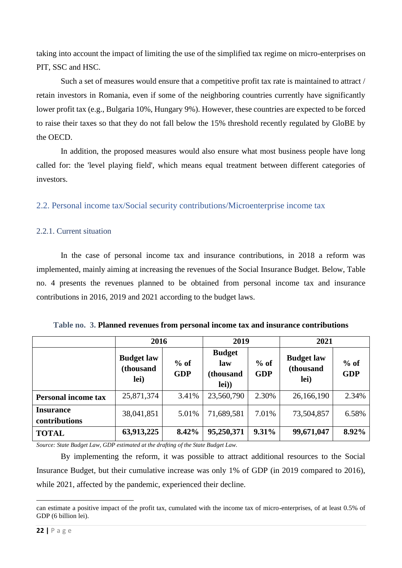taking into account the impact of limiting the use of the simplified tax regime on micro-enterprises on PIT, SSC and HSC.

Such a set of measures would ensure that a competitive profit tax rate is maintained to attract / retain investors in Romania, even if some of the neighboring countries currently have significantly lower profit tax (e.g., Bulgaria 10%, Hungary 9%). However, these countries are expected to be forced to raise their taxes so that they do not fall below the 15% threshold recently regulated by GloBE by the OECD.

In addition, the proposed measures would also ensure what most business people have long called for: the 'level playing field', which means equal treatment between different categories of investors.

<span id="page-21-0"></span>2.2. Personal income tax/Social security contributions/Microenterprise income tax

#### 2.2.1. Current situation

In the case of personal income tax and insurance contributions, in 2018 a reform was implemented, mainly aiming at increasing the revenues of the Social Insurance Budget. Below, Table no. 4 presents the revenues planned to be obtained from personal income tax and insurance contributions in 2016, 2019 and 2021 according to the budget laws.

|                                   | 2016                                   |                      | 2019                                       |                      | 2021                                   |                      |
|-----------------------------------|----------------------------------------|----------------------|--------------------------------------------|----------------------|----------------------------------------|----------------------|
|                                   | <b>Budget law</b><br>(thousand<br>lei) | $%$ of<br><b>GDP</b> | <b>Budget</b><br>law<br>(thousand<br>lei)) | $%$ of<br><b>GDP</b> | <b>Budget law</b><br>(thousand<br>lei) | $%$ of<br><b>GDP</b> |
| <b>Personal income tax</b>        | 25,871,374                             | 3.41%                | 23,560,790                                 | 2.30%                | 26,166,190                             | 2.34%                |
| <b>Insurance</b><br>contributions | 38,041,851                             | 5.01%                | 71,689,581                                 | 7.01%                | 73,504,857                             | 6.58%                |
| <b>TOTAL</b>                      | 63,913,225                             | 8.42%                | 95,250,371                                 | 9.31%                | 99,671,047                             | 8.92%                |

**Table no. 3. Planned revenues from personal income tax and insurance contributions**

*Source: State Budget Law, GDP estimated at the drafting of the State Budget Law.*

By implementing the reform, it was possible to attract additional resources to the Social Insurance Budget, but their cumulative increase was only 1% of GDP (in 2019 compared to 2016), while 2021, affected by the pandemic, experienced their decline.

can estimate a positive impact of the profit tax, cumulated with the income tax of micro-enterprises, of at least 0.5% of GDP (6 billion lei).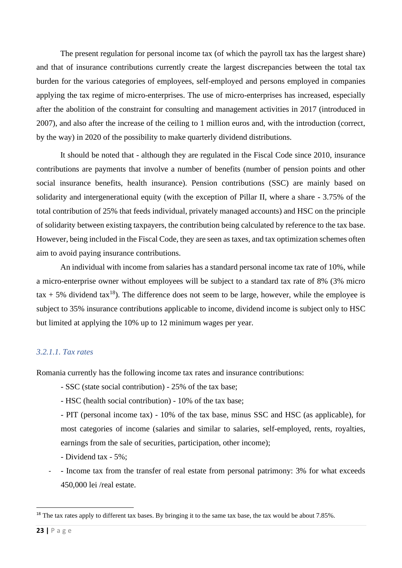The present regulation for personal income tax (of which the payroll tax has the largest share) and that of insurance contributions currently create the largest discrepancies between the total tax burden for the various categories of employees, self-employed and persons employed in companies applying the tax regime of micro-enterprises. The use of micro-enterprises has increased, especially after the abolition of the constraint for consulting and management activities in 2017 (introduced in 2007), and also after the increase of the ceiling to 1 million euros and, with the introduction (correct, by the way) in 2020 of the possibility to make quarterly dividend distributions.

It should be noted that - although they are regulated in the Fiscal Code since 2010, insurance contributions are payments that involve a number of benefits (number of pension points and other social insurance benefits, health insurance). Pension contributions (SSC) are mainly based on solidarity and intergenerational equity (with the exception of Pillar II, where a share - 3.75% of the total contribution of 25% that feeds individual, privately managed accounts) and HSC on the principle of solidarity between existing taxpayers, the contribution being calculated by reference to the tax base. However, being included in the Fiscal Code, they are seen as taxes, and tax optimization schemes often aim to avoid paying insurance contributions.

An individual with income from salaries has a standard personal income tax rate of 10%, while a micro-enterprise owner without employees will be subject to a standard tax rate of 8% (3% micro  $\text{tax} + 5\%$  dividend tax<sup>18</sup>). The difference does not seem to be large, however, while the employee is subject to 35% insurance contributions applicable to income, dividend income is subject only to HSC but limited at applying the 10% up to 12 minimum wages per year.

#### *3.2.1.1. Tax rates*

Romania currently has the following income tax rates and insurance contributions:

- SSC (state social contribution) 25% of the tax base;
- HSC (health social contribution) 10% of the tax base;

- PIT (personal income tax) - 10% of the tax base, minus SSC and HSC (as applicable), for most categories of income (salaries and similar to salaries, self-employed, rents, royalties, earnings from the sale of securities, participation, other income);

- Dividend tax 5%;
- Income tax from the transfer of real estate from personal patrimony: 3% for what exceeds 450,000 lei /real estate.

<sup>&</sup>lt;sup>18</sup> The tax rates apply to different tax bases. By bringing it to the same tax base, the tax would be about 7.85%.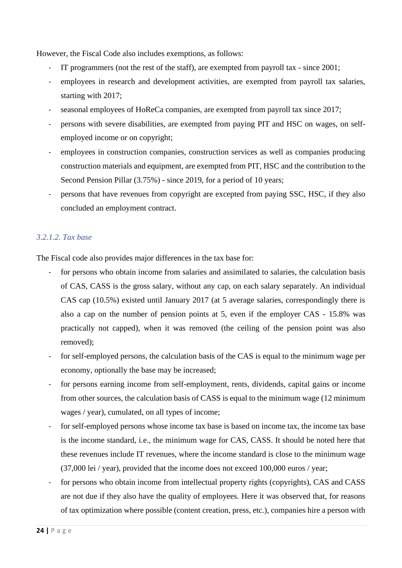However, the Fiscal Code also includes exemptions, as follows:

- IT programmers (not the rest of the staff), are exempted from payroll tax since 2001;
- employees in research and development activities, are exempted from payroll tax salaries, starting with 2017;
- seasonal employees of HoReCa companies, are exempted from payroll tax since 2017;
- persons with severe disabilities, are exempted from paying PIT and HSC on wages, on selfemployed income or on copyright;
- employees in construction companies, construction services as well as companies producing construction materials and equipment, are exempted from PIT, HSC and the contribution to the Second Pension Pillar (3.75%) - since 2019, for a period of 10 years;
- persons that have revenues from copyright are excepted from paying SSC, HSC, if they also concluded an employment contract.

#### *3.2.1.2. Tax base*

The Fiscal code also provides major differences in the tax base for:

- for persons who obtain income from salaries and assimilated to salaries, the calculation basis of CAS, CASS is the gross salary, without any cap, on each salary separately. An individual CAS cap (10.5%) existed until January 2017 (at 5 average salaries, correspondingly there is also a cap on the number of pension points at 5, even if the employer CAS - 15.8% was practically not capped), when it was removed (the ceiling of the pension point was also removed);
- for self-employed persons, the calculation basis of the CAS is equal to the minimum wage per economy, optionally the base may be increased;
- for persons earning income from self-employment, rents, dividends, capital gains or income from other sources, the calculation basis of CASS is equal to the minimum wage (12 minimum wages / year), cumulated, on all types of income;
- for self-employed persons whose income tax base is based on income tax, the income tax base is the income standard, i.e., the minimum wage for CAS, CASS. It should be noted here that these revenues include IT revenues, where the income standard is close to the minimum wage (37,000 lei / year), provided that the income does not exceed 100,000 euros / year;
- for persons who obtain income from intellectual property rights (copyrights), CAS and CASS are not due if they also have the quality of employees. Here it was observed that, for reasons of tax optimization where possible (content creation, press, etc.), companies hire a person with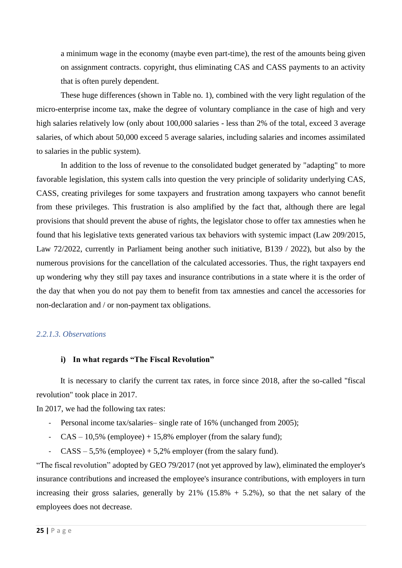a minimum wage in the economy (maybe even part-time), the rest of the amounts being given on assignment contracts. copyright, thus eliminating CAS and CASS payments to an activity that is often purely dependent.

These huge differences (shown in Table no. 1), combined with the very light regulation of the micro-enterprise income tax, make the degree of voluntary compliance in the case of high and very high salaries relatively low (only about 100,000 salaries - less than 2% of the total, exceed 3 average salaries, of which about 50,000 exceed 5 average salaries, including salaries and incomes assimilated to salaries in the public system).

In addition to the loss of revenue to the consolidated budget generated by "adapting" to more favorable legislation, this system calls into question the very principle of solidarity underlying CAS, CASS, creating privileges for some taxpayers and frustration among taxpayers who cannot benefit from these privileges. This frustration is also amplified by the fact that, although there are legal provisions that should prevent the abuse of rights, the legislator chose to offer tax amnesties when he found that his legislative texts generated various tax behaviors with systemic impact (Law 209/2015, Law 72/2022, currently in Parliament being another such initiative, B139 / 2022), but also by the numerous provisions for the cancellation of the calculated accessories. Thus, the right taxpayers end up wondering why they still pay taxes and insurance contributions in a state where it is the order of the day that when you do not pay them to benefit from tax amnesties and cancel the accessories for non-declaration and / or non-payment tax obligations.

#### *2.2.1.3. Observations*

#### **i) In what regards "The Fiscal Revolution"**

It is necessary to clarify the current tax rates, in force since 2018, after the so-called "fiscal revolution" took place in 2017.

In 2017, we had the following tax rates:

- Personal income tax/salaries– single rate of 16% (unchanged from 2005);
- $CAS 10,5%$  (employee) + 15,8% employer (from the salary fund);
- $CASS 5.5\%$  (employee) + 5,2% employer (from the salary fund).

"The fiscal revolution" adopted by GEO 79/2017 (not yet approved by law), eliminated the employer's insurance contributions and increased the employee's insurance contributions, with employers in turn increasing their gross salaries, generally by  $21\%$  (15.8% + 5.2%), so that the net salary of the employees does not decrease.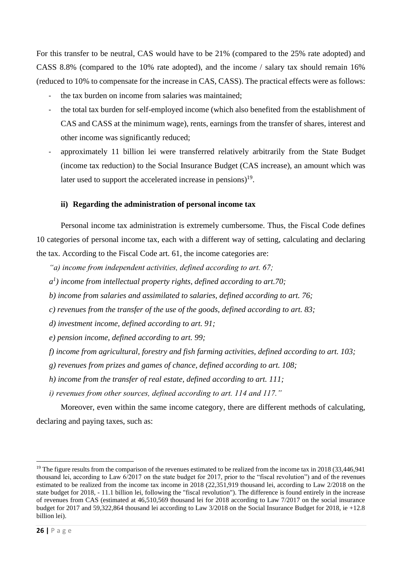For this transfer to be neutral, CAS would have to be 21% (compared to the 25% rate adopted) and CASS 8.8% (compared to the 10% rate adopted), and the income / salary tax should remain 16% (reduced to 10% to compensate for the increase in CAS, CASS). The practical effects were as follows:

- the tax burden on income from salaries was maintained:
- the total tax burden for self-employed income (which also benefited from the establishment of CAS and CASS at the minimum wage), rents, earnings from the transfer of shares, interest and other income was significantly reduced;
- approximately 11 billion lei were transferred relatively arbitrarily from the State Budget (income tax reduction) to the Social Insurance Budget (CAS increase), an amount which was later used to support the accelerated increase in pensions)<sup>19</sup>.

#### **ii) Regarding the administration of personal income tax**

Personal income tax administration is extremely cumbersome. Thus, the Fiscal Code defines 10 categories of personal income tax, each with a different way of setting, calculating and declaring the tax. According to the Fiscal Code art. 61, the income categories are:

- *"a) income from independent activities, defined according to art. 67;*
- *a 1 ) income from intellectual property rights, defined according to art.70;*
- *b) income from salaries and assimilated to salaries, defined according to art. 76;*
- *c) revenues from the transfer of the use of the goods, defined according to art. 83;*
- *d) investment income, defined according to art. 91;*
- *e) pension income, defined according to art. 99;*
- *f) income from agricultural, forestry and fish farming activities, defined according to art. 103;*
- *g) revenues from prizes and games of chance, defined according to art. 108;*
- *h) income from the transfer of real estate, defined according to art. 111;*
- *i) revenues from other sources, defined according to art. 114 and 117."*

Moreover, even within the same income category, there are different methods of calculating, declaring and paying taxes, such as:

<sup>&</sup>lt;sup>19</sup> The figure results from the comparison of the revenues estimated to be realized from the income tax in 2018 (33,446,941) thousand lei, according to Law 6/2017 on the state budget for 2017, prior to the "fiscal revolution") and of the revenues estimated to be realized from the income tax income in 2018 (22,351,919 thousand lei, according to Law 2/2018 on the state budget for 2018, - 11.1 billion lei, following the "fiscal revolution"). The difference is found entirely in the increase of revenues from CAS (estimated at 46,510,569 thousand lei for 2018 according to Law 7/2017 on the social insurance budget for 2017 and 59,322,864 thousand lei according to Law 3/2018 on the Social Insurance Budget for 2018, ie +12.8 billion lei).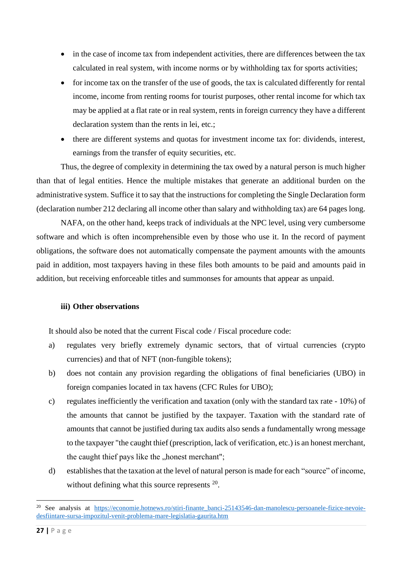- in the case of income tax from independent activities, there are differences between the tax calculated in real system, with income norms or by withholding tax for sports activities;
- for income tax on the transfer of the use of goods, the tax is calculated differently for rental income, income from renting rooms for tourist purposes, other rental income for which tax may be applied at a flat rate or in real system, rents in foreign currency they have a different declaration system than the rents in lei, etc.;
- there are different systems and quotas for investment income tax for: dividends, interest, earnings from the transfer of equity securities, etc.

Thus, the degree of complexity in determining the tax owed by a natural person is much higher than that of legal entities. Hence the multiple mistakes that generate an additional burden on the administrative system. Suffice it to say that the instructions for completing the Single Declaration form (declaration number 212 declaring all income other than salary and withholding tax) are 64 pages long.

NAFA, on the other hand, keeps track of individuals at the NPC level, using very cumbersome software and which is often incomprehensible even by those who use it. In the record of payment obligations, the software does not automatically compensate the payment amounts with the amounts paid in addition, most taxpayers having in these files both amounts to be paid and amounts paid in addition, but receiving enforceable titles and summonses for amounts that appear as unpaid.

#### **iii) Other observations**

It should also be noted that the current Fiscal code / Fiscal procedure code:

- a) regulates very briefly extremely dynamic sectors, that of virtual currencies (crypto currencies) and that of NFT (non-fungible tokens);
- b) does not contain any provision regarding the obligations of final beneficiaries (UBO) in foreign companies located in tax havens (CFC Rules for UBO);
- c) regulates inefficiently the verification and taxation (only with the standard tax rate 10%) of the amounts that cannot be justified by the taxpayer. Taxation with the standard rate of amounts that cannot be justified during tax audits also sends a fundamentally wrong message to the taxpayer "the caught thief (prescription, lack of verification, etc.) is an honest merchant, the caught thief pays like the "honest merchant";
- d) establishes that the taxation at the level of natural person is made for each "source" of income, without defining what this source represents <sup>20</sup>.

<sup>&</sup>lt;sup>20</sup> See analysis at [https://economie.hotnews.ro/stiri-finante\\_banci-25143546-dan-manolescu-persoanele-fizice-nevoie](https://economie.hotnews.ro/stiri-finante_banci-25143546-dan-manolescu-persoanele-fizice-nevoie-desfiintare-sursa-impozitul-venit-problema-mare-legislatia-gaurita.htm)[desfiintare-sursa-impozitul-venit-problema-mare-legislatia-gaurita.htm](https://economie.hotnews.ro/stiri-finante_banci-25143546-dan-manolescu-persoanele-fizice-nevoie-desfiintare-sursa-impozitul-venit-problema-mare-legislatia-gaurita.htm)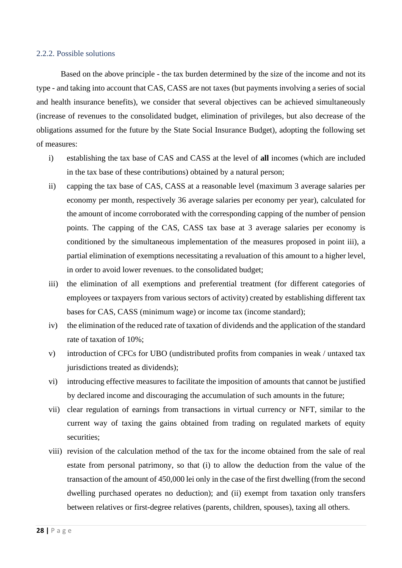#### 2.2.2. Possible solutions

Based on the above principle - the tax burden determined by the size of the income and not its type - and taking into account that CAS, CASS are not taxes (but payments involving a series of social and health insurance benefits), we consider that several objectives can be achieved simultaneously (increase of revenues to the consolidated budget, elimination of privileges, but also decrease of the obligations assumed for the future by the State Social Insurance Budget), adopting the following set of measures:

- i) establishing the tax base of CAS and CASS at the level of **all** incomes (which are included in the tax base of these contributions) obtained by a natural person;
- ii) capping the tax base of CAS, CASS at a reasonable level (maximum 3 average salaries per economy per month, respectively 36 average salaries per economy per year), calculated for the amount of income corroborated with the corresponding capping of the number of pension points. The capping of the CAS, CASS tax base at 3 average salaries per economy is conditioned by the simultaneous implementation of the measures proposed in point iii), a partial elimination of exemptions necessitating a revaluation of this amount to a higher level, in order to avoid lower revenues. to the consolidated budget;
- iii) the elimination of all exemptions and preferential treatment (for different categories of employees or taxpayers from various sectors of activity) created by establishing different tax bases for CAS, CASS (minimum wage) or income tax (income standard);
- iv) the elimination of the reduced rate of taxation of dividends and the application of the standard rate of taxation of 10%;
- v) introduction of CFCs for UBO (undistributed profits from companies in weak / untaxed tax jurisdictions treated as dividends);
- vi) introducing effective measures to facilitate the imposition of amounts that cannot be justified by declared income and discouraging the accumulation of such amounts in the future;
- vii) clear regulation of earnings from transactions in virtual currency or NFT, similar to the current way of taxing the gains obtained from trading on regulated markets of equity securities;
- viii) revision of the calculation method of the tax for the income obtained from the sale of real estate from personal patrimony, so that (i) to allow the deduction from the value of the transaction of the amount of 450,000 lei only in the case of the first dwelling (from the second dwelling purchased operates no deduction); and (ii) exempt from taxation only transfers between relatives or first-degree relatives (parents, children, spouses), taxing all others.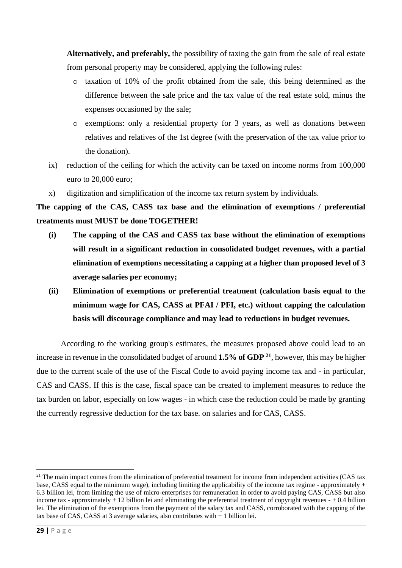**Alternatively, and preferably,** the possibility of taxing the gain from the sale of real estate from personal property may be considered, applying the following rules:

- o taxation of 10% of the profit obtained from the sale, this being determined as the difference between the sale price and the tax value of the real estate sold, minus the expenses occasioned by the sale;
- o exemptions: only a residential property for 3 years, as well as donations between relatives and relatives of the 1st degree (with the preservation of the tax value prior to the donation).
- ix) reduction of the ceiling for which the activity can be taxed on income norms from 100,000 euro to 20,000 euro;
- x) digitization and simplification of the income tax return system by individuals.

**The capping of the CAS, CASS tax base and the elimination of exemptions / preferential treatments must MUST be done TOGETHER!**

- **(i) The capping of the CAS and CASS tax base without the elimination of exemptions will result in a significant reduction in consolidated budget revenues, with a partial elimination of exemptions necessitating a capping at a higher than proposed level of 3 average salaries per economy;**
- **(ii) Elimination of exemptions or preferential treatment (calculation basis equal to the minimum wage for CAS, CASS at PFAI / PFI, etc.) without capping the calculation basis will discourage compliance and may lead to reductions in budget revenues.**

According to the working group's estimates, the measures proposed above could lead to an increase in revenue in the consolidated budget of around **1.5% of GDP <sup>21</sup>**, however, this may be higher due to the current scale of the use of the Fiscal Code to avoid paying income tax and - in particular, CAS and CASS. If this is the case, fiscal space can be created to implement measures to reduce the tax burden on labor, especially on low wages - in which case the reduction could be made by granting the currently regressive deduction for the tax base. on salaries and for CAS, CASS.

 $21$  The main impact comes from the elimination of preferential treatment for income from independent activities (CAS tax base. CASS equal to the minimum wage), including limiting the applicability of the income tax regime - approximately  $+$ 6.3 billion lei, from limiting the use of micro-enterprises for remuneration in order to avoid paying CAS, CASS but also income tax - approximately  $+ 12$  billion lei and eliminating the preferential treatment of copyright revenues  $- + 0.4$  billion lei. The elimination of the exemptions from the payment of the salary tax and CASS, corroborated with the capping of the tax base of CAS, CASS at 3 average salaries, also contributes with + 1 billion lei.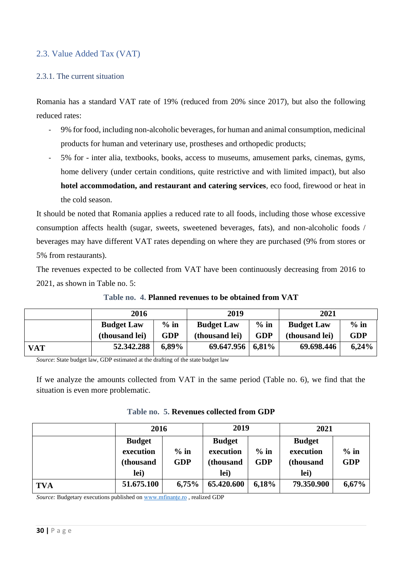#### <span id="page-29-0"></span>2.3. Value Added Tax (VAT)

#### 2.3.1. The current situation

Romania has a standard VAT rate of 19% (reduced from 20% since 2017), but also the following reduced rates:

- 9% for food, including non-alcoholic beverages, for human and animal consumption, medicinal products for human and veterinary use, prostheses and orthopedic products;
- 5% for inter alia, textbooks, books, access to museums, amusement parks, cinemas, gyms, home delivery (under certain conditions, quite restrictive and with limited impact), but also **hotel accommodation, and restaurant and catering services**, eco food, firewood or heat in the cold season.

It should be noted that Romania applies a reduced rate to all foods, including those whose excessive consumption affects health (sugar, sweets, sweetened beverages, fats), and non-alcoholic foods / beverages may have different VAT rates depending on where they are purchased (9% from stores or 5% from restaurants).

The revenues expected to be collected from VAT have been continuously decreasing from 2016 to 2021, as shown in Table no. 5:

|            | 2016              |            | 2019                  |            | 2021              |            |
|------------|-------------------|------------|-----------------------|------------|-------------------|------------|
|            | <b>Budget Law</b> | $%$ in     | <b>Budget Law</b>     | $%$ in     | <b>Budget Law</b> | $%$ in     |
|            | (thousand lei)    | <b>GDP</b> | (thousand lei)        | <b>GDP</b> | (thousand lei)    | <b>GDP</b> |
| <b>VAT</b> | 52.342.288        | $6,89\%$   | $69.647.956   6.81\%$ |            | 69.698.446        | 6,24%      |

**Table no. 4. Planned revenues to be obtained from VAT**

*Source*: State budget law, GDP estimated at the drafting of the state budget law

If we analyze the amounts collected from VAT in the same period (Table no. 6), we find that the situation is even more problematic.

|  | Table no. 5. Revenues collected from GDP |  |  |  |
|--|------------------------------------------|--|--|--|
|--|------------------------------------------|--|--|--|

|            | 2016                                            |                      | 2019                                            |                      | 2021                                            |                      |
|------------|-------------------------------------------------|----------------------|-------------------------------------------------|----------------------|-------------------------------------------------|----------------------|
|            | <b>Budget</b><br>execution<br>(thousand<br>lei) | $%$ in<br><b>GDP</b> | <b>Budget</b><br>execution<br>(thousand<br>lei) | $%$ in<br><b>GDP</b> | <b>Budget</b><br>execution<br>(thousand<br>lei) | $%$ in<br><b>GDP</b> |
| <b>TVA</b> | 51.675.100                                      | 6,75%                | 65.420.600                                      | 6,18%                | 79.350.900                                      | 6,67%                |

*Source:* Budgetary executions published on [www.mfinanțe.ro](http://www.mfinanțe.ro/) , realized GDP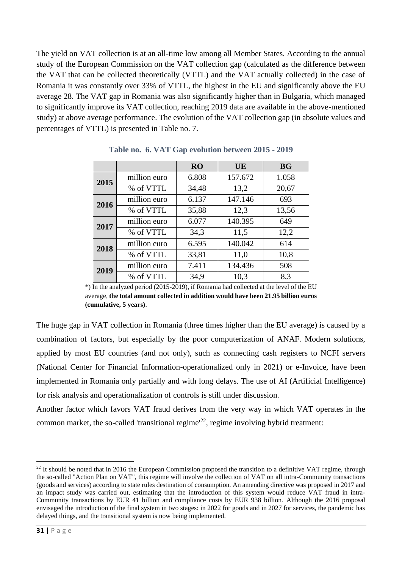The yield on VAT collection is at an all-time low among all Member States. According to the annual study of the European Commission on the VAT collection gap (calculated as the difference between the VAT that can be collected theoretically (VTTL) and the VAT actually collected) in the case of Romania it was constantly over 33% of VTTL, the highest in the EU and significantly above the EU average 28. The VAT gap in Romania was also significantly higher than in Bulgaria, which managed to significantly improve its VAT collection, reaching 2019 data are available in the above-mentioned study) at above average performance. The evolution of the VAT collection gap (in absolute values and percentages of VTTL) is presented in Table no. 7.

|      |              | <b>RO</b> | <b>UE</b> | <b>BG</b> |
|------|--------------|-----------|-----------|-----------|
| 2015 | million euro | 6.808     | 157.672   | 1.058     |
|      | % of VTTL    | 34,48     | 13,2      | 20,67     |
| 2016 | million euro | 6.137     | 147.146   | 693       |
|      | % of VTTL    | 35,88     | 12,3      | 13,56     |
| 2017 | million euro | 6.077     | 140.395   | 649       |
|      | % of VTTL    | 34,3      | 11,5      | 12,2      |
| 2018 | million euro | 6.595     | 140.042   | 614       |
|      | % of VTTL    | 33,81     | 11,0      | 10,8      |
| 2019 | million euro | 7.411     | 134.436   | 508       |
|      | % of VTTL    | 34,9      | 10,3      | 8,3       |

**Table no. 6. VAT Gap evolution between 2015 - 2019**

\*) In the analyzed period (2015-2019), if Romania had collected at the level of the EU average, **the total amount collected in addition would have been 21.95 billion euros (cumulative, 5 years)**.

The huge gap in VAT collection in Romania (three times higher than the EU average) is caused by a combination of factors, but especially by the poor computerization of ANAF. Modern solutions, applied by most EU countries (and not only), such as connecting cash registers to NCFI servers (National Center for Financial Information-operationalized only in 2021) or e-Invoice, have been implemented in Romania only partially and with long delays. The use of AI (Artificial Intelligence) for risk analysis and operationalization of controls is still under discussion.

Another factor which favors VAT fraud derives from the very way in which VAT operates in the common market, the so-called 'transitional regime'<sup>22</sup>, regime involving hybrid treatment:

<sup>&</sup>lt;sup>22</sup> It should be noted that in 2016 the European Commission proposed the transition to a definitive VAT regime, through the so-called "Action Plan on VAT", this regime will involve the collection of VAT on all intra-Community transactions (goods and services) according to state rules destination of consumption. An amending directive was proposed in 2017 and an impact study was carried out, estimating that the introduction of this system would reduce VAT fraud in intra-Community transactions by EUR 41 billion and compliance costs by EUR 938 billion. Although the 2016 proposal envisaged the introduction of the final system in two stages: in 2022 for goods and in 2027 for services, the pandemic has delayed things, and the transitional system is now being implemented.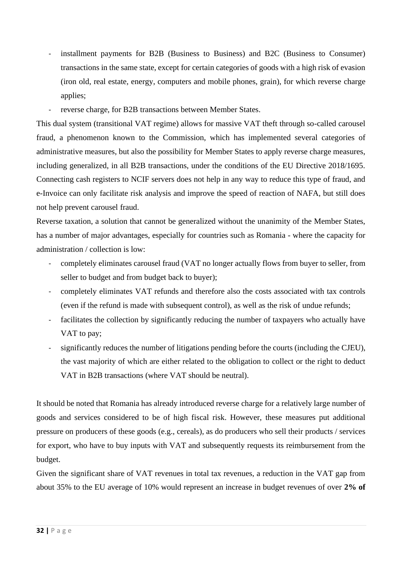- installment payments for B2B (Business to Business) and B2C (Business to Consumer) transactions in the same state, except for certain categories of goods with a high risk of evasion (iron old, real estate, energy, computers and mobile phones, grain), for which reverse charge applies;
- reverse charge, for B2B transactions between Member States.

This dual system (transitional VAT regime) allows for massive VAT theft through so-called carousel fraud, a phenomenon known to the Commission, which has implemented several categories of administrative measures, but also the possibility for Member States to apply reverse charge measures, including generalized, in all B2B transactions, under the conditions of the EU Directive 2018/1695. Connecting cash registers to NCIF servers does not help in any way to reduce this type of fraud, and e-Invoice can only facilitate risk analysis and improve the speed of reaction of NAFA, but still does not help prevent carousel fraud.

Reverse taxation, a solution that cannot be generalized without the unanimity of the Member States, has a number of major advantages, especially for countries such as Romania - where the capacity for administration / collection is low:

- completely eliminates carousel fraud (VAT no longer actually flows from buyer to seller, from seller to budget and from budget back to buyer);
- completely eliminates VAT refunds and therefore also the costs associated with tax controls (even if the refund is made with subsequent control), as well as the risk of undue refunds;
- facilitates the collection by significantly reducing the number of taxpayers who actually have VAT to pay;
- significantly reduces the number of litigations pending before the courts (including the CJEU), the vast majority of which are either related to the obligation to collect or the right to deduct VAT in B2B transactions (where VAT should be neutral).

It should be noted that Romania has already introduced reverse charge for a relatively large number of goods and services considered to be of high fiscal risk. However, these measures put additional pressure on producers of these goods (e.g., cereals), as do producers who sell their products / services for export, who have to buy inputs with VAT and subsequently requests its reimbursement from the budget.

Given the significant share of VAT revenues in total tax revenues, a reduction in the VAT gap from about 35% to the EU average of 10% would represent an increase in budget revenues of over **2% of**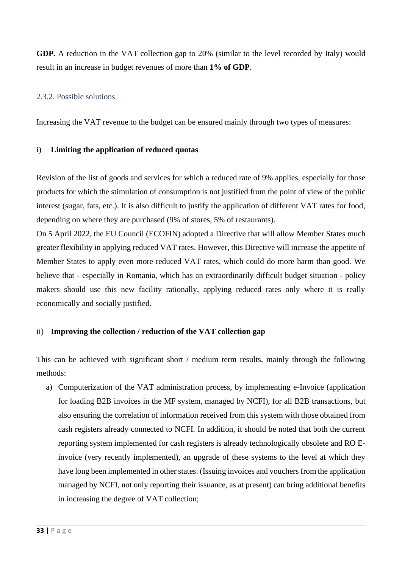**GDP**. A reduction in the VAT collection gap to 20% (similar to the level recorded by Italy) would result in an increase in budget revenues of more than **1% of GDP**.

#### 2.3.2. Possible solutions

Increasing the VAT revenue to the budget can be ensured mainly through two types of measures:

#### i) **Limiting the application of reduced quotas**

Revision of the list of goods and services for which a reduced rate of 9% applies, especially for those products for which the stimulation of consumption is not justified from the point of view of the public interest (sugar, fats, etc.). It is also difficult to justify the application of different VAT rates for food, depending on where they are purchased (9% of stores, 5% of restaurants).

On 5 April 2022, the EU Council (ECOFIN) adopted a Directive that will allow Member States much greater flexibility in applying reduced VAT rates. However, this Directive will increase the appetite of Member States to apply even more reduced VAT rates, which could do more harm than good. We believe that - especially in Romania, which has an extraordinarily difficult budget situation - policy makers should use this new facility rationally, applying reduced rates only where it is really economically and socially justified.

#### ii) **Improving the collection / reduction of the VAT collection gap**

This can be achieved with significant short / medium term results, mainly through the following methods:

a) Computerization of the VAT administration process, by implementing e-Invoice (application for loading B2B invoices in the MF system, managed by NCFI), for all B2B transactions, but also ensuring the correlation of information received from this system with those obtained from cash registers already connected to NCFI. In addition, it should be noted that both the current reporting system implemented for cash registers is already technologically obsolete and RO Einvoice (very recently implemented), an upgrade of these systems to the level at which they have long been implemented in other states. (Issuing invoices and vouchers from the application managed by NCFI, not only reporting their issuance, as at present) can bring additional benefits in increasing the degree of VAT collection;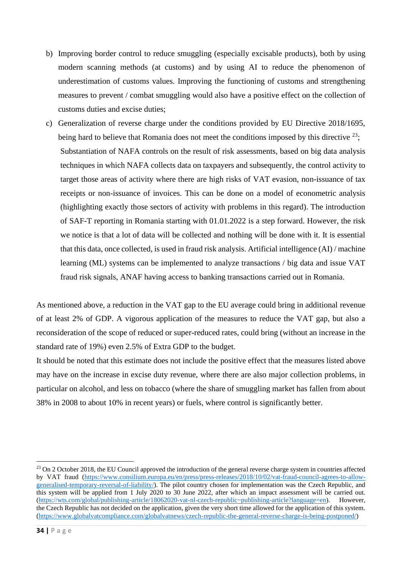- b) Improving border control to reduce smuggling (especially excisable products), both by using modern scanning methods (at customs) and by using AI to reduce the phenomenon of underestimation of customs values. Improving the functioning of customs and strengthening measures to prevent / combat smuggling would also have a positive effect on the collection of customs duties and excise duties;
- c) Generalization of reverse charge under the conditions provided by EU Directive 2018/1695, being hard to believe that Romania does not meet the conditions imposed by this directive  $^{23}$ ; Substantiation of NAFA controls on the result of risk assessments, based on big data analysis techniques in which NAFA collects data on taxpayers and subsequently, the control activity to target those areas of activity where there are high risks of VAT evasion, non-issuance of tax receipts or non-issuance of invoices. This can be done on a model of econometric analysis (highlighting exactly those sectors of activity with problems in this regard). The introduction of SAF-T reporting in Romania starting with 01.01.2022 is a step forward. However, the risk we notice is that a lot of data will be collected and nothing will be done with it. It is essential that this data, once collected, is used in fraud risk analysis. Artificial intelligence (AI) / machine learning (ML) systems can be implemented to analyze transactions / big data and issue VAT fraud risk signals, ANAF having access to banking transactions carried out in Romania.

As mentioned above, a reduction in the VAT gap to the EU average could bring in additional revenue of at least 2% of GDP. A vigorous application of the measures to reduce the VAT gap, but also a reconsideration of the scope of reduced or super-reduced rates, could bring (without an increase in the standard rate of 19%) even 2.5% of Extra GDP to the budget.

It should be noted that this estimate does not include the positive effect that the measures listed above may have on the increase in excise duty revenue, where there are also major collection problems, in particular on alcohol, and less on tobacco (where the share of smuggling market has fallen from about 38% in 2008 to about 10% in recent years) or fuels, where control is significantly better.

 $^{23}$  On 2 October 2018, the EU Council approved the introduction of the general reverse charge system in countries affected by VAT fraud [\(https://www.consilium.europa.eu/en/press/press-releases/2018/10/02/vat-fraud-council-agrees-to-allow](https://www.consilium.europa.eu/en/press/press-releases/2018/10/02/vat-fraud-council-agrees-to-allow-generalised-temporary-reversal-of-liability/)[generalised-temporary-reversal-of-liability/\)](https://www.consilium.europa.eu/en/press/press-releases/2018/10/02/vat-fraud-council-agrees-to-allow-generalised-temporary-reversal-of-liability/). The pilot country chosen for implementation was the Czech Republic, and this system will be applied from 1 July 2020 to 30 June 2022, after which an impact assessment will be carried out. [\(https://wts.com/global/publishing-article/18062020-vat-nl-czech-republic~publishing-article?language=en\)](https://wts.com/global/publishing-article/18062020-vat-nl-czech-republic~publishing-article?language=en). However, the Czech Republic has not decided on the application, given the very short time allowed for the application of this system. [\(https://www.globalvatcompliance.com/globalvatnews/czech-republic-the-general-reverse-charge-is-being-postponed/\)](https://www.globalvatcompliance.com/globalvatnews/czech-republic-the-general-reverse-charge-is-being-postponed/)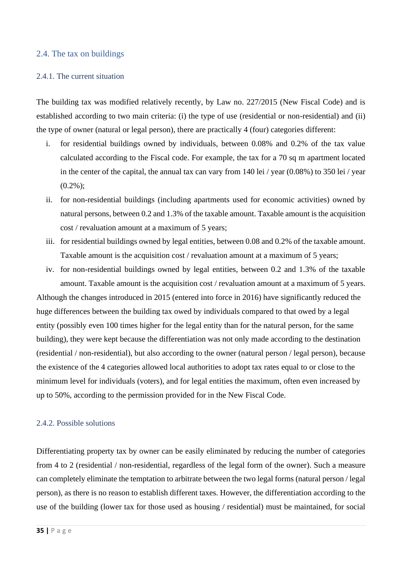#### <span id="page-34-0"></span>2.4. The tax on buildings

#### 2.4.1. The current situation

The building tax was modified relatively recently, by Law no. 227/2015 (New Fiscal Code) and is established according to two main criteria: (i) the type of use (residential or non-residential) and (ii) the type of owner (natural or legal person), there are practically 4 (four) categories different:

- i. for residential buildings owned by individuals, between 0.08% and 0.2% of the tax value calculated according to the Fiscal code. For example, the tax for a 70 sq m apartment located in the center of the capital, the annual tax can vary from 140 lei / year (0.08%) to 350 lei / year  $(0.2\%)$ :
- ii. for non-residential buildings (including apartments used for economic activities) owned by natural persons, between 0.2 and 1.3% of the taxable amount. Taxable amount is the acquisition cost / revaluation amount at a maximum of 5 years;
- iii. for residential buildings owned by legal entities, between 0.08 and 0.2% of the taxable amount. Taxable amount is the acquisition cost / revaluation amount at a maximum of 5 years;
- iv. for non-residential buildings owned by legal entities, between 0.2 and 1.3% of the taxable amount. Taxable amount is the acquisition cost / revaluation amount at a maximum of 5 years.

Although the changes introduced in 2015 (entered into force in 2016) have significantly reduced the huge differences between the building tax owed by individuals compared to that owed by a legal entity (possibly even 100 times higher for the legal entity than for the natural person, for the same building), they were kept because the differentiation was not only made according to the destination (residential / non-residential), but also according to the owner (natural person / legal person), because the existence of the 4 categories allowed local authorities to adopt tax rates equal to or close to the minimum level for individuals (voters), and for legal entities the maximum, often even increased by up to 50%, according to the permission provided for in the New Fiscal Code.

#### 2.4.2. Possible solutions

Differentiating property tax by owner can be easily eliminated by reducing the number of categories from 4 to 2 (residential / non-residential, regardless of the legal form of the owner). Such a measure can completely eliminate the temptation to arbitrate between the two legal forms (natural person / legal person), as there is no reason to establish different taxes. However, the differentiation according to the use of the building (lower tax for those used as housing / residential) must be maintained, for social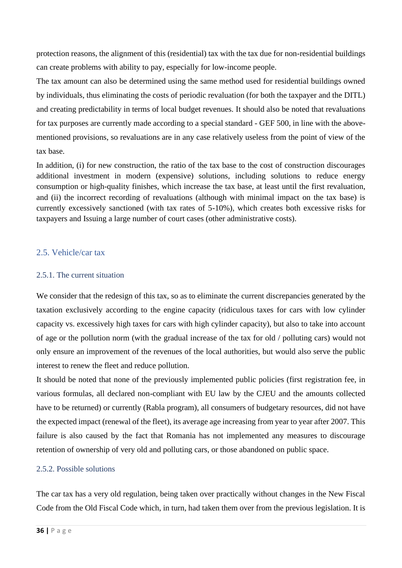protection reasons, the alignment of this (residential) tax with the tax due for non-residential buildings can create problems with ability to pay, especially for low-income people.

The tax amount can also be determined using the same method used for residential buildings owned by individuals, thus eliminating the costs of periodic revaluation (for both the taxpayer and the DITL) and creating predictability in terms of local budget revenues. It should also be noted that revaluations for tax purposes are currently made according to a special standard - GEF 500, in line with the abovementioned provisions, so revaluations are in any case relatively useless from the point of view of the tax base.

In addition, (i) for new construction, the ratio of the tax base to the cost of construction discourages additional investment in modern (expensive) solutions, including solutions to reduce energy consumption or high-quality finishes, which increase the tax base, at least until the first revaluation, and (ii) the incorrect recording of revaluations (although with minimal impact on the tax base) is currently excessively sanctioned (with tax rates of 5-10%), which creates both excessive risks for taxpayers and Issuing a large number of court cases (other administrative costs).

#### <span id="page-35-0"></span>2.5. Vehicle/car tax

#### 2.5.1. The current situation

We consider that the redesign of this tax, so as to eliminate the current discrepancies generated by the taxation exclusively according to the engine capacity (ridiculous taxes for cars with low cylinder capacity vs. excessively high taxes for cars with high cylinder capacity), but also to take into account of age or the pollution norm (with the gradual increase of the tax for old / polluting cars) would not only ensure an improvement of the revenues of the local authorities, but would also serve the public interest to renew the fleet and reduce pollution.

It should be noted that none of the previously implemented public policies (first registration fee, in various formulas, all declared non-compliant with EU law by the CJEU and the amounts collected have to be returned) or currently (Rabla program), all consumers of budgetary resources, did not have the expected impact (renewal of the fleet), its average age increasing from year to year after 2007. This failure is also caused by the fact that Romania has not implemented any measures to discourage retention of ownership of very old and polluting cars, or those abandoned on public space.

#### 2.5.2. Possible solutions

The car tax has a very old regulation, being taken over practically without changes in the New Fiscal Code from the Old Fiscal Code which, in turn, had taken them over from the previous legislation. It is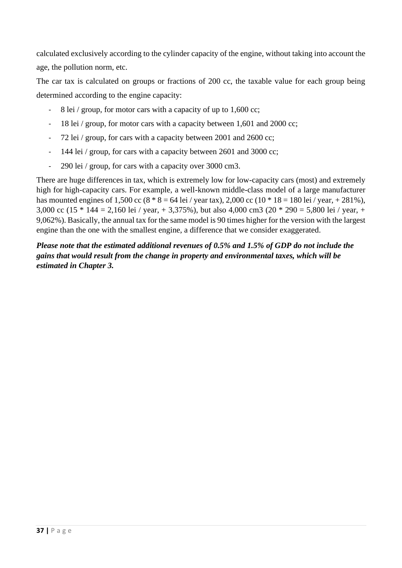calculated exclusively according to the cylinder capacity of the engine, without taking into account the age, the pollution norm, etc.

The car tax is calculated on groups or fractions of 200 cc, the taxable value for each group being determined according to the engine capacity:

- 8 lei / group, for motor cars with a capacity of up to 1,600 cc;
- 18 lei / group, for motor cars with a capacity between 1,601 and 2000 cc;
- 72 lei / group, for cars with a capacity between 2001 and 2600 cc;
- 144 lei / group, for cars with a capacity between 2601 and 3000 cc;
- 290 lei / group, for cars with a capacity over 3000 cm3.

There are huge differences in tax, which is extremely low for low-capacity cars (most) and extremely high for high-capacity cars. For example, a well-known middle-class model of a large manufacturer has mounted engines of 1,500 cc (8  $*$  8 = 64 lei / year tax), 2,000 cc (10  $*$  18 = 180 lei / year, + 281%), 3,000 cc (15  $*$  144 = 2,160 lei / year, + 3,375%), but also 4,000 cm3 (20  $*$  290 = 5,800 lei / year, + 9,062%). Basically, the annual tax for the same model is 90 times higher for the version with the largest engine than the one with the smallest engine, a difference that we consider exaggerated.

*Please note that the estimated additional revenues of 0.5% and 1.5% of GDP do not include the gains that would result from the change in property and environmental taxes, which will be estimated in Chapter 3.*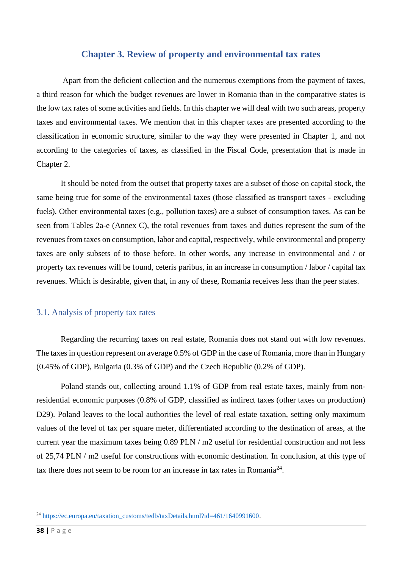#### **Chapter 3. Review of property and environmental tax rates**

<span id="page-37-0"></span>Apart from the deficient collection and the numerous exemptions from the payment of taxes, a third reason for which the budget revenues are lower in Romania than in the comparative states is the low tax rates of some activities and fields. In this chapter we will deal with two such areas, property taxes and environmental taxes. We mention that in this chapter taxes are presented according to the classification in economic structure, similar to the way they were presented in Chapter 1, and not according to the categories of taxes, as classified in the Fiscal Code, presentation that is made in Chapter 2.

It should be noted from the outset that property taxes are a subset of those on capital stock, the same being true for some of the environmental taxes (those classified as transport taxes - excluding fuels). Other environmental taxes (e.g., pollution taxes) are a subset of consumption taxes. As can be seen from Tables 2a-e (Annex C), the total revenues from taxes and duties represent the sum of the revenues from taxes on consumption, labor and capital, respectively, while environmental and property taxes are only subsets of to those before. In other words, any increase in environmental and / or property tax revenues will be found, ceteris paribus, in an increase in consumption / labor / capital tax revenues. Which is desirable, given that, in any of these, Romania receives less than the peer states.

#### <span id="page-37-1"></span>3.1. Analysis of property tax rates

Regarding the recurring taxes on real estate, Romania does not stand out with low revenues. The taxes in question represent on average 0.5% of GDP in the case of Romania, more than in Hungary (0.45% of GDP), Bulgaria (0.3% of GDP) and the Czech Republic (0.2% of GDP).

Poland stands out, collecting around 1.1% of GDP from real estate taxes, mainly from nonresidential economic purposes (0.8% of GDP, classified as indirect taxes (other taxes on production) D29). Poland leaves to the local authorities the level of real estate taxation, setting only maximum values of the level of tax per square meter, differentiated according to the destination of areas, at the current year the maximum taxes being 0.89 PLN / m2 useful for residential construction and not less of 25,74 PLN / m2 useful for constructions with economic destination. In conclusion, at this type of tax there does not seem to be room for an increase in tax rates in Romania<sup>24</sup>.

 $^{24}$  [https://ec.europa.eu/taxation\\_customs/tedb/taxDetails.html?id=461/1640991600.](https://ec.europa.eu/taxation_customs/tedb/taxDetails.html?id=461/1640991600)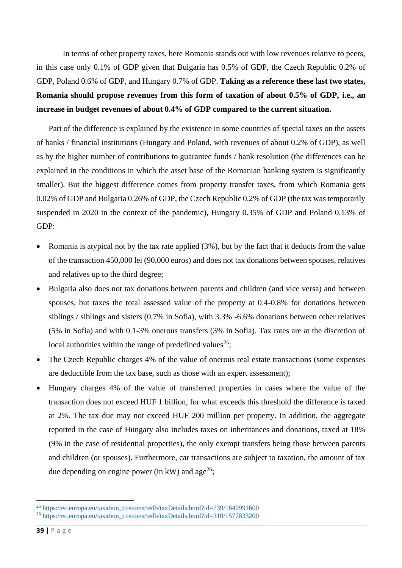In terms of other property taxes, here Romania stands out with low revenues relative to peers, in this case only 0.1% of GDP given that Bulgaria has 0.5% of GDP, the Czech Republic 0.2% of GDP, Poland 0.6% of GDP, and Hungary 0.7% of GDP. **Taking as a reference these last two states, Romania should propose revenues from this form of taxation of about 0.5% of GDP, i.e., an increase in budget revenues of about 0.4% of GDP compared to the current situation.**

 Part of the difference is explained by the existence in some countries of special taxes on the assets of banks / financial institutions (Hungary and Poland, with revenues of about 0.2% of GDP), as well as by the higher number of contributions to guarantee funds / bank resolution (the differences can be explained in the conditions in which the asset base of the Romanian banking system is significantly smaller). But the biggest difference comes from property transfer taxes, from which Romania gets 0.02% of GDP and Bulgaria 0.26% of GDP, the Czech Republic 0.2% of GDP (the tax was temporarily suspended in 2020 in the context of the pandemic), Hungary 0.35% of GDP and Poland 0.13% of GDP:

- Romania is atypical not by the tax rate applied (3%), but by the fact that it deducts from the value of the transaction 450,000 lei (90,000 euros) and does not tax donations between spouses, relatives and relatives up to the third degree;
- Bulgaria also does not tax donations between parents and children (and vice versa) and between spouses, but taxes the total assessed value of the property at 0.4-0.8% for donations between siblings / siblings and sisters (0.7% in Sofia), with 3.3% -6.6% donations between other relatives (5% in Sofia) and with 0.1-3% onerous transfers (3% in Sofia). Tax rates are at the discretion of local authorities within the range of predefined values<sup>25</sup>;
- The Czech Republic charges 4% of the value of onerous real estate transactions (some expenses are deductible from the tax base, such as those with an expert assessment);
- Hungary charges 4% of the value of transferred properties in cases where the value of the transaction does not exceed HUF 1 billion, for what exceeds this threshold the difference is taxed at 2%. The tax due may not exceed HUF 200 million per property. In addition, the aggregate reported in the case of Hungary also includes taxes on inheritances and donations, taxed at 18% (9% in the case of residential properties), the only exempt transfers being those between parents and children (or spouses). Furthermore, car transactions are subject to taxation, the amount of tax due depending on engine power (in kW) and age<sup>26</sup>;

<sup>&</sup>lt;sup>25</sup> [https://ec.europa.eu/taxation\\_customs/tedb/taxDetails.html?id=739/1640991600](https://ec.europa.eu/taxation_customs/tedb/taxDetails.html?id=739/1640991600)

<sup>&</sup>lt;sup>26</sup> [https://ec.europa.eu/taxation\\_customs/tedb/taxDetails.html?id=310/1577833200](https://ec.europa.eu/taxation_customs/tedb/taxDetails.html?id=310/1577833200)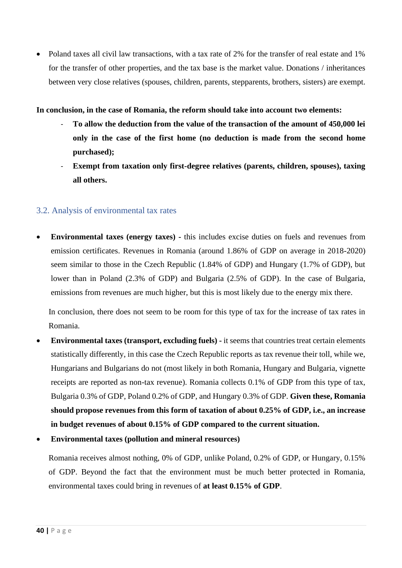• Poland taxes all civil law transactions, with a tax rate of 2% for the transfer of real estate and 1% for the transfer of other properties, and the tax base is the market value. Donations / inheritances between very close relatives (spouses, children, parents, stepparents, brothers, sisters) are exempt.

#### **In conclusion, in the case of Romania, the reform should take into account two elements:**

- **To allow the deduction from the value of the transaction of the amount of 450,000 lei only in the case of the first home (no deduction is made from the second home purchased);**
- Exempt from taxation only first-degree relatives (parents, children, spouses), taxing **all others.**

#### <span id="page-39-0"></span>3.2. Analysis of environmental tax rates

• **Environmental taxes (energy taxes) -** this includes excise duties on fuels and revenues from emission certificates. Revenues in Romania (around 1.86% of GDP on average in 2018-2020) seem similar to those in the Czech Republic (1.84% of GDP) and Hungary (1.7% of GDP), but lower than in Poland (2.3% of GDP) and Bulgaria (2.5% of GDP). In the case of Bulgaria, emissions from revenues are much higher, but this is most likely due to the energy mix there.

In conclusion, there does not seem to be room for this type of tax for the increase of tax rates in Romania.

- **Environmental taxes (transport, excluding fuels) -** it seems that countries treat certain elements statistically differently, in this case the Czech Republic reports as tax revenue their toll, while we, Hungarians and Bulgarians do not (most likely in both Romania, Hungary and Bulgaria, vignette receipts are reported as non-tax revenue). Romania collects 0.1% of GDP from this type of tax, Bulgaria 0.3% of GDP, Poland 0.2% of GDP, and Hungary 0.3% of GDP. **Given these, Romania should propose revenues from this form of taxation of about 0.25% of GDP, i.e., an increase in budget revenues of about 0.15% of GDP compared to the current situation.**
- **Environmental taxes (pollution and mineral resources)**

Romania receives almost nothing, 0% of GDP, unlike Poland, 0.2% of GDP, or Hungary, 0.15% of GDP. Beyond the fact that the environment must be much better protected in Romania, environmental taxes could bring in revenues of **at least 0.15% of GDP**.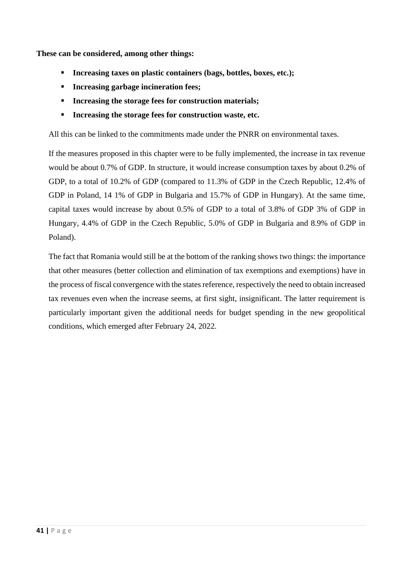**These can be considered, among other things:**

- **Increasing taxes on plastic containers (bags, bottles, boxes, etc.);**
- **Increasing garbage incineration fees;**
- **Increasing the storage fees for construction materials;**
- **Increasing the storage fees for construction waste, etc.**

All this can be linked to the commitments made under the PNRR on environmental taxes.

If the measures proposed in this chapter were to be fully implemented, the increase in tax revenue would be about 0.7% of GDP. In structure, it would increase consumption taxes by about 0.2% of GDP, to a total of 10.2% of GDP (compared to 11.3% of GDP in the Czech Republic, 12.4% of GDP in Poland, 14 1% of GDP in Bulgaria and 15.7% of GDP in Hungary). At the same time, capital taxes would increase by about 0.5% of GDP to a total of 3.8% of GDP 3% of GDP in Hungary, 4.4% of GDP in the Czech Republic, 5.0% of GDP in Bulgaria and 8.9% of GDP in Poland).

The fact that Romania would still be at the bottom of the ranking shows two things: the importance that other measures (better collection and elimination of tax exemptions and exemptions) have in the process of fiscal convergence with the states reference, respectively the need to obtain increased tax revenues even when the increase seems, at first sight, insignificant. The latter requirement is particularly important given the additional needs for budget spending in the new geopolitical conditions, which emerged after February 24, 2022.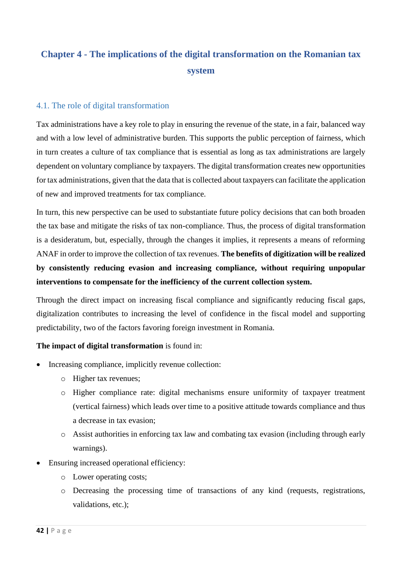## <span id="page-41-0"></span>**Chapter 4 - The implications of the digital transformation on the Romanian tax system**

#### <span id="page-41-1"></span>4.1. The role of digital transformation

Tax administrations have a key role to play in ensuring the revenue of the state, in a fair, balanced way and with a low level of administrative burden. This supports the public perception of fairness, which in turn creates a culture of tax compliance that is essential as long as tax administrations are largely dependent on voluntary compliance by taxpayers. The digital transformation creates new opportunities for tax administrations, given that the data that is collected about taxpayers can facilitate the application of new and improved treatments for tax compliance.

In turn, this new perspective can be used to substantiate future policy decisions that can both broaden the tax base and mitigate the risks of tax non-compliance. Thus, the process of digital transformation is a desideratum, but, especially, through the changes it implies, it represents a means of reforming ANAF in order to improve the collection of tax revenues. **The benefits of digitization will be realized by consistently reducing evasion and increasing compliance, without requiring unpopular interventions to compensate for the inefficiency of the current collection system.**

Through the direct impact on increasing fiscal compliance and significantly reducing fiscal gaps, digitalization contributes to increasing the level of confidence in the fiscal model and supporting predictability, two of the factors favoring foreign investment in Romania.

#### **The impact of digital transformation** is found in:

- Increasing compliance, implicitly revenue collection:
	- o Higher tax revenues;
	- o Higher compliance rate: digital mechanisms ensure uniformity of taxpayer treatment (vertical fairness) which leads over time to a positive attitude towards compliance and thus a decrease in tax evasion;
	- o Assist authorities in enforcing tax law and combating tax evasion (including through early warnings).
- Ensuring increased operational efficiency:
	- o Lower operating costs;
	- o Decreasing the processing time of transactions of any kind (requests, registrations, validations, etc.);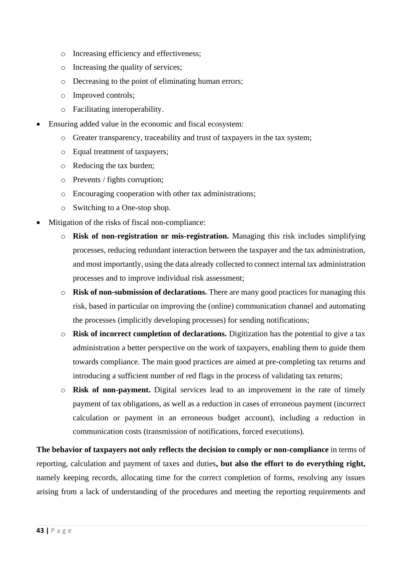- o Increasing efficiency and effectiveness;
- o Increasing the quality of services;
- o Decreasing to the point of eliminating human errors;
- o Improved controls;
- o Facilitating interoperability.
- Ensuring added value in the economic and fiscal ecosystem:
	- o Greater transparency, traceability and trust of taxpayers in the tax system;
	- o Equal treatment of taxpayers;
	- o Reducing the tax burden;
	- o Prevents / fights corruption;
	- o Encouraging cooperation with other tax administrations;
	- o Switching to a One-stop shop.
- Mitigation of the risks of fiscal non-compliance:
	- o **Risk of non-registration or mis-registration.** Managing this risk includes simplifying processes, reducing redundant interaction between the taxpayer and the tax administration, and most importantly, using the data already collected to connect internal tax administration processes and to improve individual risk assessment;
	- o **Risk of non-submission of declarations.** There are many good practices for managing this risk, based in particular on improving the (online) communication channel and automating the processes (implicitly developing processes) for sending notifications;
	- o **Risk of incorrect completion of declarations.** Digitization has the potential to give a tax administration a better perspective on the work of taxpayers, enabling them to guide them towards compliance. The main good practices are aimed at pre-completing tax returns and introducing a sufficient number of red flags in the process of validating tax returns;
	- o **Risk of non-payment.** Digital services lead to an improvement in the rate of timely payment of tax obligations, as well as a reduction in cases of erroneous payment (incorrect calculation or payment in an erroneous budget account), including a reduction in communication costs (transmission of notifications, forced executions).

**The behavior of taxpayers not only reflects the decision to comply or non-compliance** in terms of reporting, calculation and payment of taxes and duties**, but also the effort to do everything right,**  namely keeping records, allocating time for the correct completion of forms, resolving any issues arising from a lack of understanding of the procedures and meeting the reporting requirements and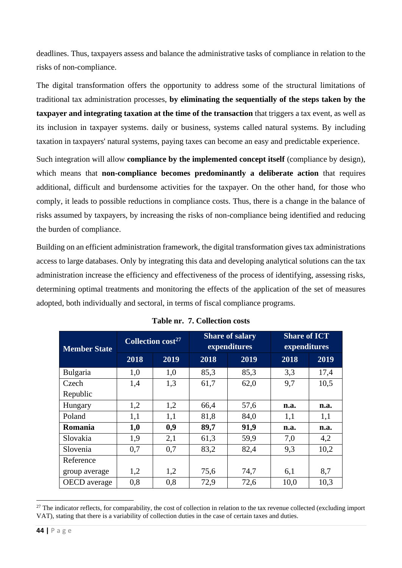deadlines. Thus, taxpayers assess and balance the administrative tasks of compliance in relation to the risks of non-compliance.

The digital transformation offers the opportunity to address some of the structural limitations of traditional tax administration processes, **by eliminating the sequentially of the steps taken by the taxpayer and integrating taxation at the time of the transaction** that triggers a tax event, as well as its inclusion in taxpayer systems. daily or business, systems called natural systems. By including taxation in taxpayers' natural systems, paying taxes can become an easy and predictable experience.

Such integration will allow **compliance by the implemented concept itself** (compliance by design), which means that **non-compliance becomes predominantly a deliberate action** that requires additional, difficult and burdensome activities for the taxpayer. On the other hand, for those who comply, it leads to possible reductions in compliance costs. Thus, there is a change in the balance of risks assumed by taxpayers, by increasing the risks of non-compliance being identified and reducing the burden of compliance.

Building on an efficient administration framework, the digital transformation gives tax administrations access to large databases. Only by integrating this data and developing analytical solutions can the tax administration increase the efficiency and effectiveness of the process of identifying, assessing risks, determining optimal treatments and monitoring the effects of the application of the set of measures adopted, both individually and sectoral, in terms of fiscal compliance programs.

| <b>Member State</b> | Collection cost <sup>27</sup> |      |      | <b>Share of salary</b><br>expenditures | <b>Share of ICT</b><br>expenditures |      |
|---------------------|-------------------------------|------|------|----------------------------------------|-------------------------------------|------|
|                     | 2018                          | 2019 | 2018 | 2019                                   | 2018                                | 2019 |
| <b>Bulgaria</b>     | 1,0                           | 1,0  | 85,3 | 85,3                                   | 3,3                                 | 17,4 |
| Czech               | 1,4                           | 1,3  | 61,7 | 62,0                                   | 9,7                                 | 10,5 |
| Republic            |                               |      |      |                                        |                                     |      |
| Hungary             | 1,2                           | 1,2  | 66,4 | 57,6                                   | n.a.                                | n.a. |
| Poland              | 1,1                           | 1,1  | 81,8 | 84,0                                   | 1,1                                 | 1,1  |
| Romania             | 1,0                           | 0,9  | 89,7 | 91,9                                   | n.a.                                | n.a. |
| Slovakia            | 1,9                           | 2,1  | 61,3 | 59,9                                   | 7,0                                 | 4,2  |
| Slovenia            | 0,7                           | 0,7  | 83,2 | 82,4                                   | 9,3                                 | 10,2 |
| Reference           |                               |      |      |                                        |                                     |      |
| group average       | 1,2                           | 1,2  | 75,6 | 74,7                                   | 6,1                                 | 8,7  |
| <b>OECD</b> average | 0,8                           | 0,8  | 72,9 | 72,6                                   | 10,0                                | 10,3 |

**Table nr. 7. Collection costs**

 $27$  The indicator reflects, for comparability, the cost of collection in relation to the tax revenue collected (excluding import VAT), stating that there is a variability of collection duties in the case of certain taxes and duties.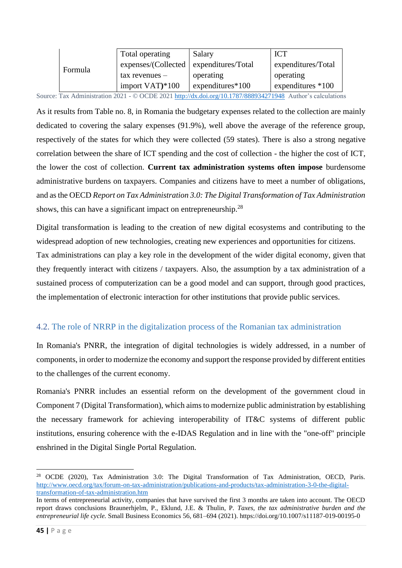|         | Total operating           | Salary              | <b>ICT</b>          |
|---------|---------------------------|---------------------|---------------------|
| Formula | express/ (Collected)      | expenditures/Total  | expenditures/Total  |
|         | $\text{tax}$ revenues $-$ | operating           | operating           |
|         | import VAT)*100           | expenditures $*100$ | expenditures $*100$ |

Source: Tax Administration 2021 - © OCDE 2021<http://dx.doi.org/10.1787/888934271948>Author's calculations

As it results from Table no. 8, in Romania the budgetary expenses related to the collection are mainly dedicated to covering the salary expenses (91.9%), well above the average of the reference group, respectively of the states for which they were collected (59 states). There is also a strong negative correlation between the share of ICT spending and the cost of collection - the higher the cost of ICT, the lower the cost of collection. **Current tax administration systems often impose** burdensome administrative burdens on taxpayers. Companies and citizens have to meet a number of obligations, and as the OECD *Report on Tax Administration 3.0: The Digital Transformation of Tax Administration* shows, this can have a significant impact on entrepreneurship.<sup>28</sup>

Digital transformation is leading to the creation of new digital ecosystems and contributing to the widespread adoption of new technologies, creating new experiences and opportunities for citizens. Tax administrations can play a key role in the development of the wider digital economy, given that they frequently interact with citizens / taxpayers. Also, the assumption by a tax administration of a sustained process of computerization can be a good model and can support, through good practices, the implementation of electronic interaction for other institutions that provide public services.

#### <span id="page-44-0"></span>4.2. The role of NRRP in the digitalization process of the Romanian tax administration

In Romania's PNRR, the integration of digital technologies is widely addressed, in a number of components, in order to modernize the economy and support the response provided by different entities to the challenges of the current economy.

Romania's PNRR includes an essential reform on the development of the government cloud in Component 7 (Digital Transformation), which aims to modernize public administration by establishing the necessary framework for achieving interoperability of IT&C systems of different public institutions, ensuring coherence with the e-IDAS Regulation and in line with the "one-off" principle enshrined in the Digital Single Portal Regulation.

<sup>28</sup> OCDE (2020), Tax Administration 3.0: The Digital Transformation of Tax Administration, OECD, Paris. [http://www.oecd.org/tax/forum-on-tax-administration/publications-and-products/tax-administration-3-0-the-digital](http://www.oecd.org/tax/forum-on-tax-administration/publications-and-products/tax-administration-3-0-the-digital-transformation-of-tax-administration.htm)[transformation-of-tax-administration.htm](http://www.oecd.org/tax/forum-on-tax-administration/publications-and-products/tax-administration-3-0-the-digital-transformation-of-tax-administration.htm)

In terms of entrepreneurial activity, companies that have survived the first 3 months are taken into account. The OECD report draws conclusions Braunerhjelm, P., Eklund, J.E. & Thulin, P. *Taxes, the tax administrative burden and the entrepreneurial life cycle.* Small Business Economics 56, 681–694 (2021). https://doi.org/10.1007/s11187-019-00195-0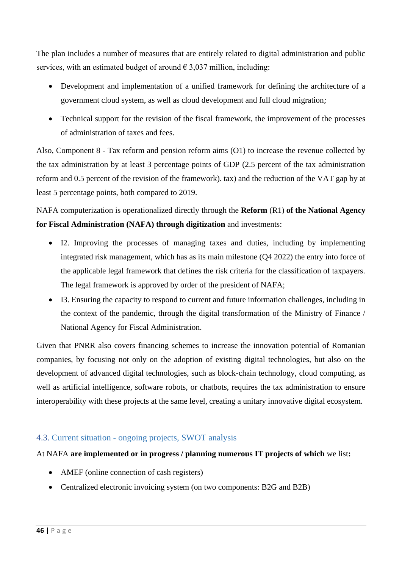The plan includes a number of measures that are entirely related to digital administration and public services, with an estimated budget of around  $\epsilon$  3,037 million, including:

- Development and implementation of a unified framework for defining the architecture of a government cloud system, as well as cloud development and full cloud migration*;*
- Technical support for the revision of the fiscal framework, the improvement of the processes of administration of taxes and fees.

Also, Component 8 - Tax reform and pension reform aims (O1) to increase the revenue collected by the tax administration by at least 3 percentage points of GDP (2.5 percent of the tax administration reform and 0.5 percent of the revision of the framework). tax) and the reduction of the VAT gap by at least 5 percentage points, both compared to 2019.

NAFA computerization is operationalized directly through the **Reform** (R1) **of the National Agency for Fiscal Administration (NAFA) through digitization** and investments:

- I2. Improving the processes of managing taxes and duties, including by implementing integrated risk management, which has as its main milestone (Q4 2022) the entry into force of the applicable legal framework that defines the risk criteria for the classification of taxpayers. The legal framework is approved by order of the president of NAFA;
- I3. Ensuring the capacity to respond to current and future information challenges, including in the context of the pandemic, through the digital transformation of the Ministry of Finance / National Agency for Fiscal Administration.

Given that PNRR also covers financing schemes to increase the innovation potential of Romanian companies, by focusing not only on the adoption of existing digital technologies, but also on the development of advanced digital technologies, such as block-chain technology, cloud computing, as well as artificial intelligence, software robots, or chatbots, requires the tax administration to ensure interoperability with these projects at the same level, creating a unitary innovative digital ecosystem.

### <span id="page-45-0"></span>4.3. Current situation - ongoing projects, SWOT analysis

#### At NAFA **are implemented or in progress / planning numerous IT projects of which** we list**:**

- AMEF (online connection of cash registers)
- Centralized electronic invoicing system (on two components: B2G and B2B)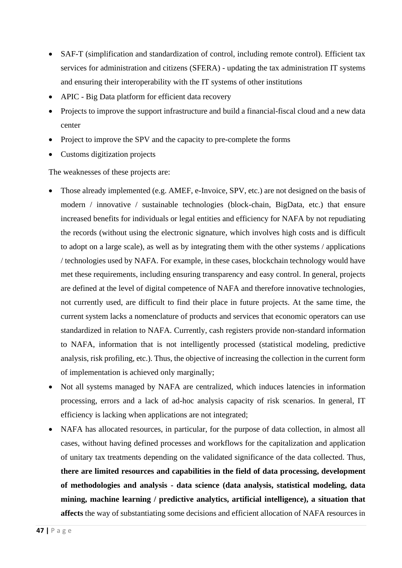- SAF-T (simplification and standardization of control, including remote control). Efficient tax services for administration and citizens (SFERA) - updating the tax administration IT systems and ensuring their interoperability with the IT systems of other institutions
- APIC Big Data platform for efficient data recovery
- Projects to improve the support infrastructure and build a financial-fiscal cloud and a new data center
- Project to improve the SPV and the capacity to pre-complete the forms
- Customs digitization projects

The weaknesses of these projects are:

- Those already implemented (e.g. AMEF, e-Invoice, SPV, etc.) are not designed on the basis of modern / innovative / sustainable technologies (block-chain, BigData, etc.) that ensure increased benefits for individuals or legal entities and efficiency for NAFA by not repudiating the records (without using the electronic signature, which involves high costs and is difficult to adopt on a large scale), as well as by integrating them with the other systems / applications / technologies used by NAFA. For example, in these cases, blockchain technology would have met these requirements, including ensuring transparency and easy control. In general, projects are defined at the level of digital competence of NAFA and therefore innovative technologies, not currently used, are difficult to find their place in future projects. At the same time, the current system lacks a nomenclature of products and services that economic operators can use standardized in relation to NAFA. Currently, cash registers provide non-standard information to NAFA, information that is not intelligently processed (statistical modeling, predictive analysis, risk profiling, etc.). Thus, the objective of increasing the collection in the current form of implementation is achieved only marginally;
- Not all systems managed by NAFA are centralized, which induces latencies in information processing, errors and a lack of ad-hoc analysis capacity of risk scenarios. In general, IT efficiency is lacking when applications are not integrated;
- NAFA has allocated resources, in particular, for the purpose of data collection, in almost all cases, without having defined processes and workflows for the capitalization and application of unitary tax treatments depending on the validated significance of the data collected. Thus, **there are limited resources and capabilities in the field of data processing, development of methodologies and analysis - data science (data analysis, statistical modeling, data mining, machine learning / predictive analytics, artificial intelligence), a situation that affects** the way of substantiating some decisions and efficient allocation of NAFA resources in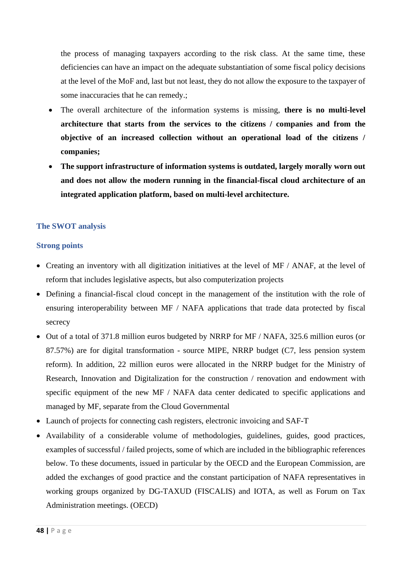the process of managing taxpayers according to the risk class. At the same time, these deficiencies can have an impact on the adequate substantiation of some fiscal policy decisions at the level of the MoF and, last but not least, they do not allow the exposure to the taxpayer of some inaccuracies that he can remedy.;

- The overall architecture of the information systems is missing, **there is no multi-level architecture that starts from the services to the citizens / companies and from the objective of an increased collection without an operational load of the citizens / companies;**
- **The support infrastructure of information systems is outdated, largely morally worn out and does not allow the modern running in the financial-fiscal cloud architecture of an integrated application platform, based on multi-level architecture.**

#### **The SWOT analysis**

#### **Strong points**

- Creating an inventory with all digitization initiatives at the level of MF / ANAF, at the level of reform that includes legislative aspects, but also computerization projects
- Defining a financial-fiscal cloud concept in the management of the institution with the role of ensuring interoperability between MF / NAFA applications that trade data protected by fiscal secrecy
- Out of a total of 371.8 million euros budgeted by NRRP for MF / NAFA, 325.6 million euros (or 87.57%) are for digital transformation - source MIPE, NRRP budget (C7, less pension system reform). In addition, 22 million euros were allocated in the NRRP budget for the Ministry of Research, Innovation and Digitalization for the construction / renovation and endowment with specific equipment of the new MF / NAFA data center dedicated to specific applications and managed by MF, separate from the Cloud Governmental
- Launch of projects for connecting cash registers, electronic invoicing and SAF-T
- Availability of a considerable volume of methodologies, guidelines, guides, good practices, examples of successful / failed projects, some of which are included in the bibliographic references below. To these documents, issued in particular by the OECD and the European Commission, are added the exchanges of good practice and the constant participation of NAFA representatives in working groups organized by DG-TAXUD (FISCALIS) and IOTA, as well as Forum on Tax Administration meetings. (OECD)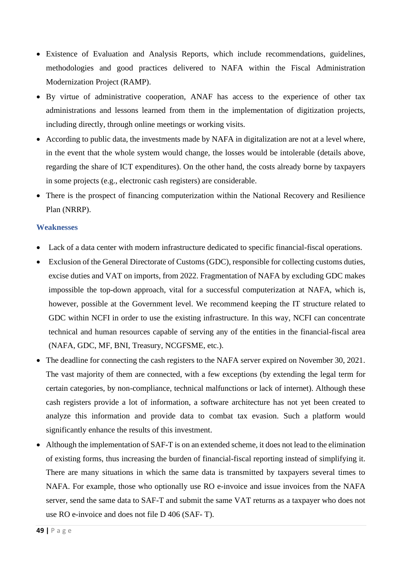- Existence of Evaluation and Analysis Reports, which include recommendations, guidelines, methodologies and good practices delivered to NAFA within the Fiscal Administration Modernization Project (RAMP).
- By virtue of administrative cooperation, ANAF has access to the experience of other tax administrations and lessons learned from them in the implementation of digitization projects, including directly, through online meetings or working visits.
- According to public data, the investments made by NAFA in digitalization are not at a level where, in the event that the whole system would change, the losses would be intolerable (details above, regarding the share of ICT expenditures). On the other hand, the costs already borne by taxpayers in some projects (e.g., electronic cash registers) are considerable.
- There is the prospect of financing computerization within the National Recovery and Resilience Plan (NRRP).

#### **Weaknesses**

- Lack of a data center with modern infrastructure dedicated to specific financial-fiscal operations.
- Exclusion of the General Directorate of Customs (GDC), responsible for collecting customs duties, excise duties and VAT on imports, from 2022. Fragmentation of NAFA by excluding GDC makes impossible the top-down approach, vital for a successful computerization at NAFA, which is, however, possible at the Government level. We recommend keeping the IT structure related to GDC within NCFI in order to use the existing infrastructure. In this way, NCFI can concentrate technical and human resources capable of serving any of the entities in the financial-fiscal area (NAFA, GDC, MF, BNI, Treasury, NCGFSME, etc.).
- The deadline for connecting the cash registers to the NAFA server expired on November 30, 2021. The vast majority of them are connected, with a few exceptions (by extending the legal term for certain categories, by non-compliance, technical malfunctions or lack of internet). Although these cash registers provide a lot of information, a software architecture has not yet been created to analyze this information and provide data to combat tax evasion. Such a platform would significantly enhance the results of this investment.
- Although the implementation of SAF-T is on an extended scheme, it does not lead to the elimination of existing forms, thus increasing the burden of financial-fiscal reporting instead of simplifying it. There are many situations in which the same data is transmitted by taxpayers several times to NAFA. For example, those who optionally use RO e-invoice and issue invoices from the NAFA server, send the same data to SAF-T and submit the same VAT returns as a taxpayer who does not use RO e-invoice and does not file D 406 (SAF- T).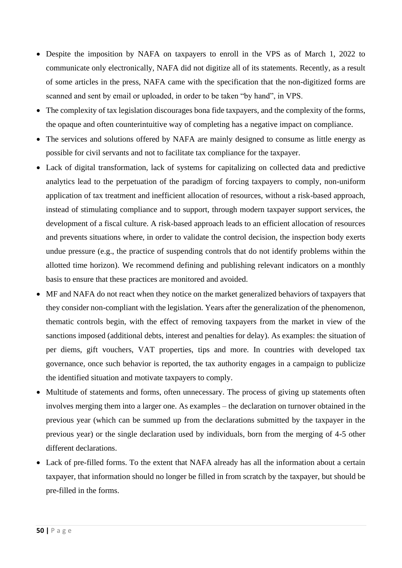- Despite the imposition by NAFA on taxpayers to enroll in the VPS as of March 1, 2022 to communicate only electronically, NAFA did not digitize all of its statements. Recently, as a result of some articles in the press, NAFA came with the specification that the non-digitized forms are scanned and sent by email or uploaded, in order to be taken "by hand", in VPS.
- The complexity of tax legislation discourages bona fide taxpayers, and the complexity of the forms, the opaque and often counterintuitive way of completing has a negative impact on compliance.
- The services and solutions offered by NAFA are mainly designed to consume as little energy as possible for civil servants and not to facilitate tax compliance for the taxpayer.
- Lack of digital transformation, lack of systems for capitalizing on collected data and predictive analytics lead to the perpetuation of the paradigm of forcing taxpayers to comply, non-uniform application of tax treatment and inefficient allocation of resources, without a risk-based approach, instead of stimulating compliance and to support, through modern taxpayer support services, the development of a fiscal culture. A risk-based approach leads to an efficient allocation of resources and prevents situations where, in order to validate the control decision, the inspection body exerts undue pressure (e.g., the practice of suspending controls that do not identify problems within the allotted time horizon). We recommend defining and publishing relevant indicators on a monthly basis to ensure that these practices are monitored and avoided.
- MF and NAFA do not react when they notice on the market generalized behaviors of taxpayers that they consider non-compliant with the legislation. Years after the generalization of the phenomenon, thematic controls begin, with the effect of removing taxpayers from the market in view of the sanctions imposed (additional debts, interest and penalties for delay). As examples: the situation of per diems, gift vouchers, VAT properties, tips and more. In countries with developed tax governance, once such behavior is reported, the tax authority engages in a campaign to publicize the identified situation and motivate taxpayers to comply.
- Multitude of statements and forms, often unnecessary. The process of giving up statements often involves merging them into a larger one. As examples – the declaration on turnover obtained in the previous year (which can be summed up from the declarations submitted by the taxpayer in the previous year) or the single declaration used by individuals, born from the merging of 4-5 other different declarations.
- Lack of pre-filled forms. To the extent that NAFA already has all the information about a certain taxpayer, that information should no longer be filled in from scratch by the taxpayer, but should be pre-filled in the forms.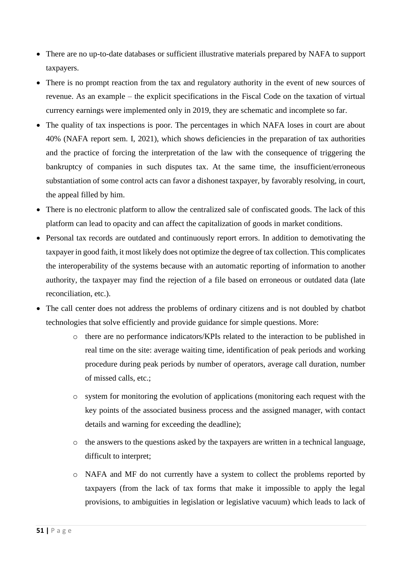- There are no up-to-date databases or sufficient illustrative materials prepared by NAFA to support taxpayers.
- There is no prompt reaction from the tax and regulatory authority in the event of new sources of revenue. As an example – the explicit specifications in the Fiscal Code on the taxation of virtual currency earnings were implemented only in 2019, they are schematic and incomplete so far.
- The quality of tax inspections is poor. The percentages in which NAFA loses in court are about 40% (NAFA report sem. I, 2021), which shows deficiencies in the preparation of tax authorities and the practice of forcing the interpretation of the law with the consequence of triggering the bankruptcy of companies in such disputes tax. At the same time, the insufficient/erroneous substantiation of some control acts can favor a dishonest taxpayer, by favorably resolving, in court, the appeal filled by him.
- There is no electronic platform to allow the centralized sale of confiscated goods. The lack of this platform can lead to opacity and can affect the capitalization of goods in market conditions.
- Personal tax records are outdated and continuously report errors. In addition to demotivating the taxpayer in good faith, it most likely does not optimize the degree of tax collection. This complicates the interoperability of the systems because with an automatic reporting of information to another authority, the taxpayer may find the rejection of a file based on erroneous or outdated data (late reconciliation, etc.).
- The call center does not address the problems of ordinary citizens and is not doubled by chatbot technologies that solve efficiently and provide guidance for simple questions. More:
	- o there are no performance indicators/KPIs related to the interaction to be published in real time on the site: average waiting time, identification of peak periods and working procedure during peak periods by number of operators, average call duration, number of missed calls, etc.;
	- o system for monitoring the evolution of applications (monitoring each request with the key points of the associated business process and the assigned manager, with contact details and warning for exceeding the deadline);
	- o the answers to the questions asked by the taxpayers are written in a technical language, difficult to interpret;
	- o NAFA and MF do not currently have a system to collect the problems reported by taxpayers (from the lack of tax forms that make it impossible to apply the legal provisions, to ambiguities in legislation or legislative vacuum) which leads to lack of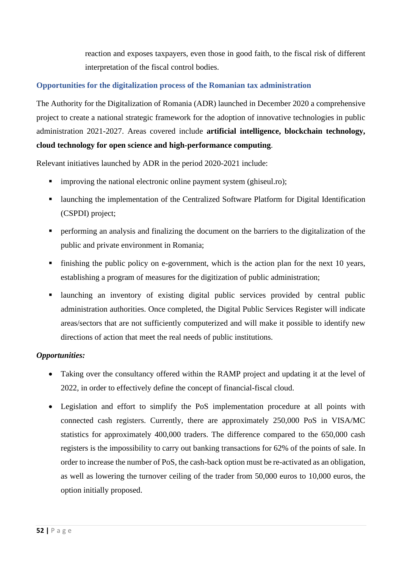reaction and exposes taxpayers, even those in good faith, to the fiscal risk of different interpretation of the fiscal control bodies.

#### **Opportunities for the digitalization process of the Romanian tax administration**

The Authority for the Digitalization of Romania (ADR) launched in December 2020 a comprehensive project to create a national strategic framework for the adoption of innovative technologies in public administration 2021-2027. Areas covered include **artificial intelligence, blockchain technology, cloud technology for open science and high-performance computing**.

Relevant initiatives launched by ADR in the period 2020-2021 include:

- **•** improving the national electronic online payment system (ghiseul.ro);
- launching the implementation of the Centralized Software Platform for Digital Identification (CSPDI) project;
- **•** performing an analysis and finalizing the document on the barriers to the digitalization of the public and private environment in Romania;
- finishing the public policy on e-government, which is the action plan for the next 10 years, establishing a program of measures for the digitization of public administration;
- **E** launching an inventory of existing digital public services provided by central public administration authorities. Once completed, the Digital Public Services Register will indicate areas/sectors that are not sufficiently computerized and will make it possible to identify new directions of action that meet the real needs of public institutions.

#### *Opportunities:*

- Taking over the consultancy offered within the RAMP project and updating it at the level of 2022, in order to effectively define the concept of financial-fiscal cloud.
- Legislation and effort to simplify the PoS implementation procedure at all points with connected cash registers. Currently, there are approximately 250,000 PoS in VISA/MC statistics for approximately 400,000 traders. The difference compared to the 650,000 cash registers is the impossibility to carry out banking transactions for 62% of the points of sale. In order to increase the number of PoS, the cash-back option must be re-activated as an obligation, as well as lowering the turnover ceiling of the trader from 50,000 euros to 10,000 euros, the option initially proposed.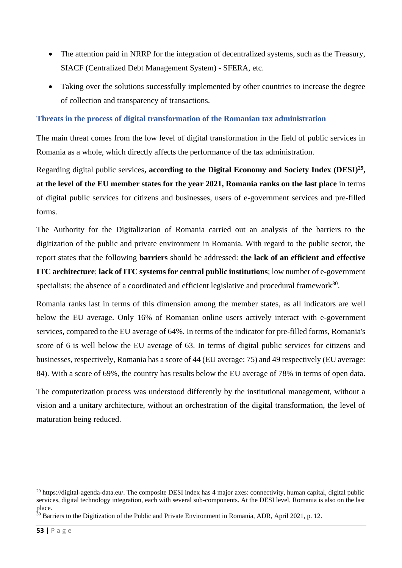- The attention paid in NRRP for the integration of decentralized systems, such as the Treasury, SIACF (Centralized Debt Management System) - SFERA, etc.
- Taking over the solutions successfully implemented by other countries to increase the degree of collection and transparency of transactions.

#### **Threats in the process of digital transformation of the Romanian tax administration**

The main threat comes from the low level of digital transformation in the field of public services in Romania as a whole, which directly affects the performance of the tax administration.

Regarding digital public services**, according to the Digital Economy and Society Index (DESI)<sup>29</sup> , at the level of the EU member states for the year 2021, Romania ranks on the last place** in terms of digital public services for citizens and businesses, users of e-government services and pre-filled forms.

The Authority for the Digitalization of Romania carried out an analysis of the barriers to the digitization of the public and private environment in Romania. With regard to the public sector, the report states that the following **barriers** should be addressed: **the lack of an efficient and effective ITC architecture**; **lack of ITC systems for central public institutions**; low number of e-government specialists; the absence of a coordinated and efficient legislative and procedural framework $^{30}$ .

Romania ranks last in terms of this dimension among the member states, as all indicators are well below the EU average. Only 16% of Romanian online users actively interact with e-government services, compared to the EU average of 64%. In terms of the indicator for pre-filled forms, Romania's score of 6 is well below the EU average of 63. In terms of digital public services for citizens and businesses, respectively, Romania has a score of 44 (EU average: 75) and 49 respectively (EU average: 84). With a score of 69%, the country has results below the EU average of 78% in terms of open data.

The computerization process was understood differently by the institutional management, without a vision and a unitary architecture, without an orchestration of the digital transformation, the level of maturation being reduced.

<sup>&</sup>lt;sup>29</sup> https://digital-agenda-data.eu/. The composite DESI index has 4 major axes: connectivity, human capital, digital public services, digital technology integration, each with several sub-components. At the DESI level, Romania is also on the last place.

 $30$  Barriers to the Digitization of the Public and Private Environment in Romania, ADR, April 2021, p. 12.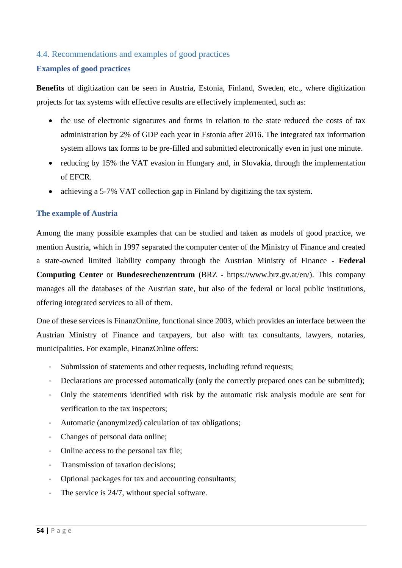#### <span id="page-53-0"></span>4.4. Recommendations and examples of good practices

#### **Examples of good practices**

**Benefits** of digitization can be seen in Austria, Estonia, Finland, Sweden, etc., where digitization projects for tax systems with effective results are effectively implemented, such as:

- the use of electronic signatures and forms in relation to the state reduced the costs of tax administration by 2% of GDP each year in Estonia after 2016. The integrated tax information system allows tax forms to be pre-filled and submitted electronically even in just one minute.
- reducing by 15% the VAT evasion in Hungary and, in Slovakia, through the implementation of EFCR.
- achieving a 5-7% VAT collection gap in Finland by digitizing the tax system.

#### **The example of Austria**

Among the many possible examples that can be studied and taken as models of good practice, we mention Austria, which in 1997 separated the computer center of the Ministry of Finance and created a state-owned limited liability company through the Austrian Ministry of Finance - **Federal Computing Center** or **Bundesrechenzentrum** (BRZ - https://www.brz.gv.at/en/). This company manages all the databases of the Austrian state, but also of the federal or local public institutions, offering integrated services to all of them.

One of these services is FinanzOnline, functional since 2003, which provides an interface between the Austrian Ministry of Finance and taxpayers, but also with tax consultants, lawyers, notaries, municipalities. For example, FinanzOnline offers:

- Submission of statements and other requests, including refund requests;
- Declarations are processed automatically (only the correctly prepared ones can be submitted);
- Only the statements identified with risk by the automatic risk analysis module are sent for verification to the tax inspectors;
- Automatic (anonymized) calculation of tax obligations;
- Changes of personal data online;
- Online access to the personal tax file;
- Transmission of taxation decisions;
- Optional packages for tax and accounting consultants;
- The service is 24/7, without special software.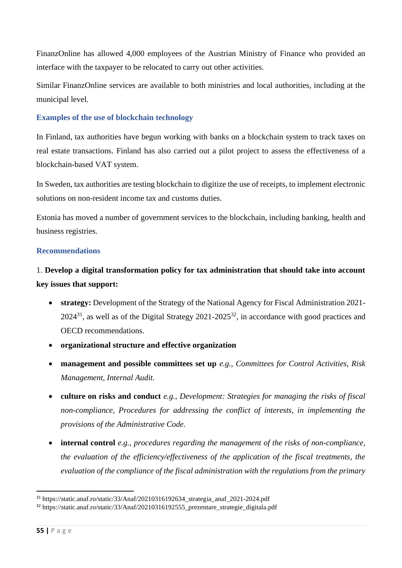FinanzOnline has allowed 4,000 employees of the Austrian Ministry of Finance who provided an interface with the taxpayer to be relocated to carry out other activities.

Similar FinanzOnline services are available to both ministries and local authorities, including at the municipal level.

#### **Examples of the use of blockchain technology**

In Finland, tax authorities have begun working with banks on a blockchain system to track taxes on real estate transactions. Finland has also carried out a pilot project to assess the effectiveness of a blockchain-based VAT system.

In Sweden, tax authorities are testing blockchain to digitize the use of receipts, to implement electronic solutions on non-resident income tax and customs duties.

Estonia has moved a number of government services to the blockchain, including banking, health and business registries.

#### **Recommendations**

## 1. **Develop a digital transformation policy for tax administration that should take into account key issues that support:**

- **strategy:** Development of the Strategy of the National Agency for Fiscal Administration 2021- $2024^{31}$ , as well as of the Digital Strategy  $2021-2025^{32}$ , in accordance with good practices and OECD recommendations.
- **organizational structure and effective organization**
- **management and possible committees set up** *e.g., Committees for Control Activities, Risk Management, Internal Audit.*
- **culture on risks and conduct** *e.g., Development: Strategies for managing the risks of fiscal non-compliance, Procedures for addressing the conflict of interests, in implementing the provisions of the Administrative Code.*
- **internal control** *e.g., procedures regarding the management of the risks of non-compliance, the evaluation of the efficiency/effectiveness of the application of the fiscal treatments, the evaluation of the compliance of the fiscal administration with the regulations from the primary*

<sup>31</sup> https://static.anaf.ro/static/33/Anaf/20210316192634\_strategia\_anaf\_2021-2024.pdf

<sup>&</sup>lt;sup>32</sup> https://static.anaf.ro/static/33/Anaf/20210316192555\_prezentare\_strategie\_digitala.pdf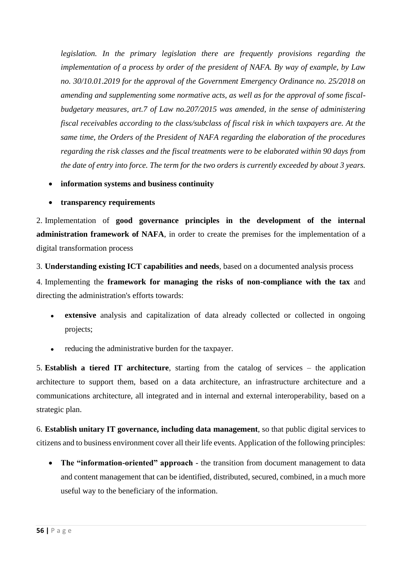*legislation. In the primary legislation there are frequently provisions regarding the implementation of a process by order of the president of NAFA. By way of example, by Law no. 30/10.01.2019 for the approval of the Government Emergency Ordinance no. 25/2018 on amending and supplementing some normative acts, as well as for the approval of some fiscalbudgetary measures, art.7 of Law no.207/2015 was amended, in the sense of administering fiscal receivables according to the class/subclass of fiscal risk in which taxpayers are. At the same time, the Orders of the President of NAFA regarding the elaboration of the procedures regarding the risk classes and the fiscal treatments were to be elaborated within 90 days from the date of entry into force. The term for the two orders is currently exceeded by about 3 years.*

- **information systems and business continuity**
- **transparency requirements**

2. Implementation of **good governance principles in the development of the internal administration framework of NAFA**, in order to create the premises for the implementation of a digital transformation process

3. **Understanding existing ICT capabilities and needs**, based on a documented analysis process

4. Implementing the **framework for managing the risks of non-compliance with the tax** and directing the administration's efforts towards:

- ⚫ **extensive** analysis and capitalization of data already collected or collected in ongoing projects;
- ⚫ reducing the administrative burden for the taxpayer.

5. **Establish a tiered IT architecture**, starting from the catalog of services – the application architecture to support them, based on a data architecture, an infrastructure architecture and a communications architecture, all integrated and in internal and external interoperability, based on a strategic plan.

6. **Establish unitary IT governance, including data management**, so that public digital services to citizens and to business environment cover all their life events. Application of the following principles:

• **The "information-oriented" approach** - the transition from document management to data and content management that can be identified, distributed, secured, combined, in a much more useful way to the beneficiary of the information.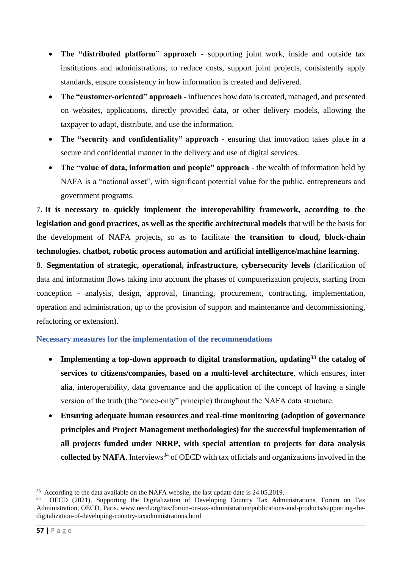- **The "distributed platform" approach** supporting joint work, inside and outside tax institutions and administrations, to reduce costs, support joint projects, consistently apply standards, ensure consistency in how information is created and delivered.
- **The "customer-oriented" approach** influences how data is created, managed, and presented on websites, applications, directly provided data, or other delivery models, allowing the taxpayer to adapt, distribute, and use the information.
- **The "security and confidentiality" approach** ensuring that innovation takes place in a secure and confidential manner in the delivery and use of digital services.
- **The "value of data, information and people" approach** the wealth of information held by NAFA is a "national asset", with significant potential value for the public, entrepreneurs and government programs.

7. **It is necessary to quickly implement the interoperability framework, according to the legislation and good practices, as well as the specific architectural models** that will be the basis for the development of NAFA projects, so as to facilitate **the transition to cloud, block-chain technologies. chatbot, robotic process automation and artificial intelligence/machine learning**.

8. **Segmentation of strategic, operational, infrastructure, cybersecurity levels** (clarification of data and information flows taking into account the phases of computerization projects, starting from conception - analysis, design, approval, financing, procurement, contracting, implementation, operation and administration, up to the provision of support and maintenance and decommissioning, refactoring or extension).

#### **Necessary measures for the implementation of the recommendations**

- **Implementing a top-down approach to digital transformation, updating<sup>33</sup> the catalog of services to citizens/companies, based on a multi-level architecture**, which ensures, inter alia, interoperability, data governance and the application of the concept of having a single version of the truth (the "once-only" principle) throughout the NAFA data structure.
- **Ensuring adequate human resources and real-time monitoring (adoption of governance principles and Project Management methodologies) for the successful implementation of all projects funded under NRRP, with special attention to projects for data analysis collected by NAFA**. Interviews<sup>34</sup> of OECD with tax officials and organizations involved in the

<sup>&</sup>lt;sup>33</sup> According to the data available on the NAFA website, the last update date is 24.05.2019.

<sup>34</sup> OECD (2021), Supporting the Digitalization of Developing Country Tax Administrations, Forum on Tax Administration, OECD, Paris. www.oecd.org/tax/forum-on-tax-administration/publications-and-products/supporting-thedigitalization-of-developing-country-taxadministrations.html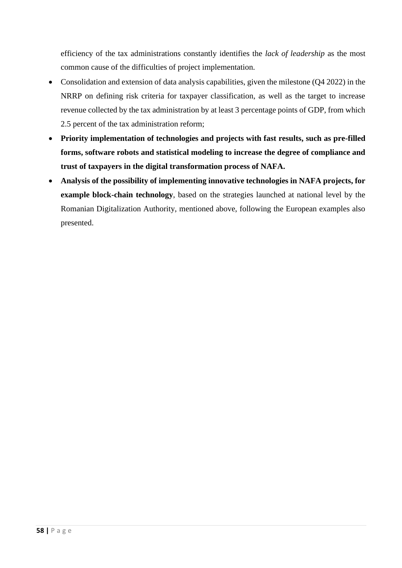efficiency of the tax administrations constantly identifies the *lack of leadership* as the most common cause of the difficulties of project implementation.

- Consolidation and extension of data analysis capabilities, given the milestone (Q4 2022) in the NRRP on defining risk criteria for taxpayer classification, as well as the target to increase revenue collected by the tax administration by at least 3 percentage points of GDP, from which 2.5 percent of the tax administration reform;
- **Priority implementation of technologies and projects with fast results, such as pre-filled forms, software robots and statistical modeling to increase the degree of compliance and trust of taxpayers in the digital transformation process of NAFA.**
- **Analysis of the possibility of implementing innovative technologies in NAFA projects, for example block-chain technology**, based on the strategies launched at national level by the Romanian Digitalization Authority, mentioned above, following the European examples also presented.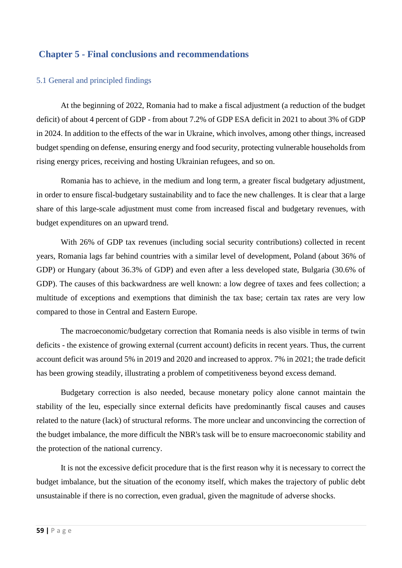#### <span id="page-58-0"></span>**Chapter 5 - Final conclusions and recommendations**

#### <span id="page-58-1"></span>5.1 General and principled findings

At the beginning of 2022, Romania had to make a fiscal adjustment (a reduction of the budget deficit) of about 4 percent of GDP - from about 7.2% of GDP ESA deficit in 2021 to about 3% of GDP in 2024. In addition to the effects of the war in Ukraine, which involves, among other things, increased budget spending on defense, ensuring energy and food security, protecting vulnerable households from rising energy prices, receiving and hosting Ukrainian refugees, and so on.

Romania has to achieve, in the medium and long term, a greater fiscal budgetary adjustment, in order to ensure fiscal-budgetary sustainability and to face the new challenges. It is clear that a large share of this large-scale adjustment must come from increased fiscal and budgetary revenues, with budget expenditures on an upward trend.

With 26% of GDP tax revenues (including social security contributions) collected in recent years, Romania lags far behind countries with a similar level of development, Poland (about 36% of GDP) or Hungary (about 36.3% of GDP) and even after a less developed state, Bulgaria (30.6% of GDP). The causes of this backwardness are well known: a low degree of taxes and fees collection; a multitude of exceptions and exemptions that diminish the tax base; certain tax rates are very low compared to those in Central and Eastern Europe.

The macroeconomic/budgetary correction that Romania needs is also visible in terms of twin deficits - the existence of growing external (current account) deficits in recent years. Thus, the current account deficit was around 5% in 2019 and 2020 and increased to approx. 7% in 2021; the trade deficit has been growing steadily, illustrating a problem of competitiveness beyond excess demand.

Budgetary correction is also needed, because monetary policy alone cannot maintain the stability of the leu, especially since external deficits have predominantly fiscal causes and causes related to the nature (lack) of structural reforms. The more unclear and unconvincing the correction of the budget imbalance, the more difficult the NBR's task will be to ensure macroeconomic stability and the protection of the national currency.

It is not the excessive deficit procedure that is the first reason why it is necessary to correct the budget imbalance, but the situation of the economy itself, which makes the trajectory of public debt unsustainable if there is no correction, even gradual, given the magnitude of adverse shocks.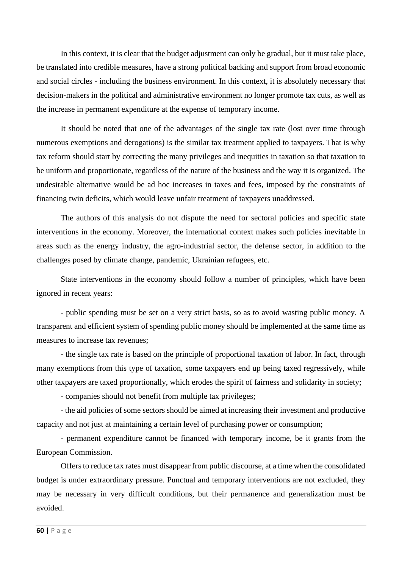In this context, it is clear that the budget adjustment can only be gradual, but it must take place, be translated into credible measures, have a strong political backing and support from broad economic and social circles - including the business environment. In this context, it is absolutely necessary that decision-makers in the political and administrative environment no longer promote tax cuts, as well as the increase in permanent expenditure at the expense of temporary income.

It should be noted that one of the advantages of the single tax rate (lost over time through numerous exemptions and derogations) is the similar tax treatment applied to taxpayers. That is why tax reform should start by correcting the many privileges and inequities in taxation so that taxation to be uniform and proportionate, regardless of the nature of the business and the way it is organized. The undesirable alternative would be ad hoc increases in taxes and fees, imposed by the constraints of financing twin deficits, which would leave unfair treatment of taxpayers unaddressed.

The authors of this analysis do not dispute the need for sectoral policies and specific state interventions in the economy. Moreover, the international context makes such policies inevitable in areas such as the energy industry, the agro-industrial sector, the defense sector, in addition to the challenges posed by climate change, pandemic, Ukrainian refugees, etc.

State interventions in the economy should follow a number of principles, which have been ignored in recent years:

- public spending must be set on a very strict basis, so as to avoid wasting public money. A transparent and efficient system of spending public money should be implemented at the same time as measures to increase tax revenues;

- the single tax rate is based on the principle of proportional taxation of labor. In fact, through many exemptions from this type of taxation, some taxpayers end up being taxed regressively, while other taxpayers are taxed proportionally, which erodes the spirit of fairness and solidarity in society;

- companies should not benefit from multiple tax privileges;

- the aid policies of some sectors should be aimed at increasing their investment and productive capacity and not just at maintaining a certain level of purchasing power or consumption;

- permanent expenditure cannot be financed with temporary income, be it grants from the European Commission.

Offers to reduce tax rates must disappear from public discourse, at a time when the consolidated budget is under extraordinary pressure. Punctual and temporary interventions are not excluded, they may be necessary in very difficult conditions, but their permanence and generalization must be avoided.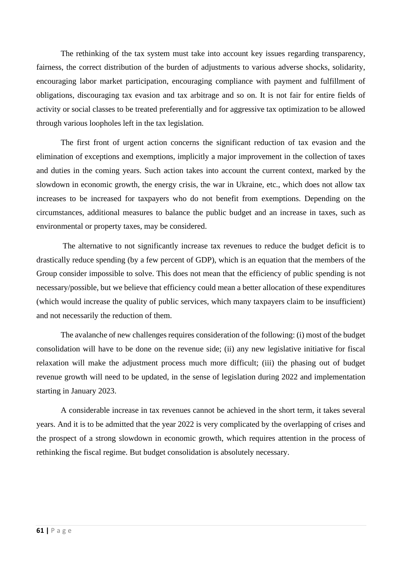The rethinking of the tax system must take into account key issues regarding transparency, fairness, the correct distribution of the burden of adjustments to various adverse shocks, solidarity, encouraging labor market participation, encouraging compliance with payment and fulfillment of obligations, discouraging tax evasion and tax arbitrage and so on. It is not fair for entire fields of activity or social classes to be treated preferentially and for aggressive tax optimization to be allowed through various loopholes left in the tax legislation.

The first front of urgent action concerns the significant reduction of tax evasion and the elimination of exceptions and exemptions, implicitly a major improvement in the collection of taxes and duties in the coming years. Such action takes into account the current context, marked by the slowdown in economic growth, the energy crisis, the war in Ukraine, etc., which does not allow tax increases to be increased for taxpayers who do not benefit from exemptions. Depending on the circumstances, additional measures to balance the public budget and an increase in taxes, such as environmental or property taxes, may be considered.

The alternative to not significantly increase tax revenues to reduce the budget deficit is to drastically reduce spending (by a few percent of GDP), which is an equation that the members of the Group consider impossible to solve. This does not mean that the efficiency of public spending is not necessary/possible, but we believe that efficiency could mean a better allocation of these expenditures (which would increase the quality of public services, which many taxpayers claim to be insufficient) and not necessarily the reduction of them.

The avalanche of new challenges requires consideration of the following: (i) most of the budget consolidation will have to be done on the revenue side; (ii) any new legislative initiative for fiscal relaxation will make the adjustment process much more difficult; (iii) the phasing out of budget revenue growth will need to be updated, in the sense of legislation during 2022 and implementation starting in January 2023.

A considerable increase in tax revenues cannot be achieved in the short term, it takes several years. And it is to be admitted that the year 2022 is very complicated by the overlapping of crises and the prospect of a strong slowdown in economic growth, which requires attention in the process of rethinking the fiscal regime. But budget consolidation is absolutely necessary.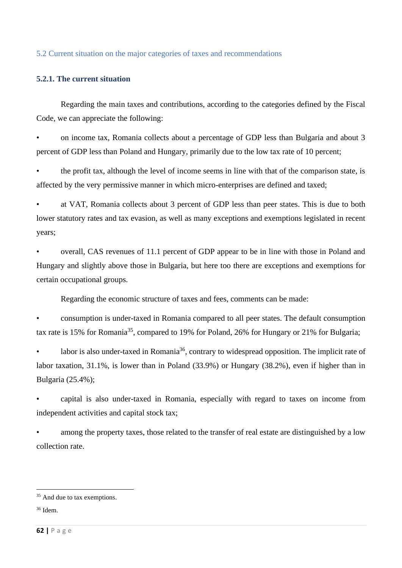#### <span id="page-61-0"></span>5.2 Current situation on the major categories of taxes and recommendations

#### **5.2.1. The current situation**

Regarding the main taxes and contributions, according to the categories defined by the Fiscal Code, we can appreciate the following:

• on income tax, Romania collects about a percentage of GDP less than Bulgaria and about 3 percent of GDP less than Poland and Hungary, primarily due to the low tax rate of 10 percent;

• the profit tax, although the level of income seems in line with that of the comparison state, is affected by the very permissive manner in which micro-enterprises are defined and taxed;

• at VAT, Romania collects about 3 percent of GDP less than peer states. This is due to both lower statutory rates and tax evasion, as well as many exceptions and exemptions legislated in recent years;

• overall, CAS revenues of 11.1 percent of GDP appear to be in line with those in Poland and Hungary and slightly above those in Bulgaria, but here too there are exceptions and exemptions for certain occupational groups.

Regarding the economic structure of taxes and fees, comments can be made:

• consumption is under-taxed in Romania compared to all peer states. The default consumption tax rate is 15% for Romania<sup>35</sup>, compared to 19% for Poland, 26% for Hungary or 21% for Bulgaria;

• labor is also under-taxed in Romania<sup>36</sup>, contrary to widespread opposition. The implicit rate of labor taxation, 31.1%, is lower than in Poland (33.9%) or Hungary (38.2%), even if higher than in Bulgaria (25.4%);

• capital is also under-taxed in Romania, especially with regard to taxes on income from independent activities and capital stock tax;

among the property taxes, those related to the transfer of real estate are distinguished by a low collection rate.

<sup>&</sup>lt;sup>35</sup> And due to tax exemptions.

<sup>36</sup> Idem.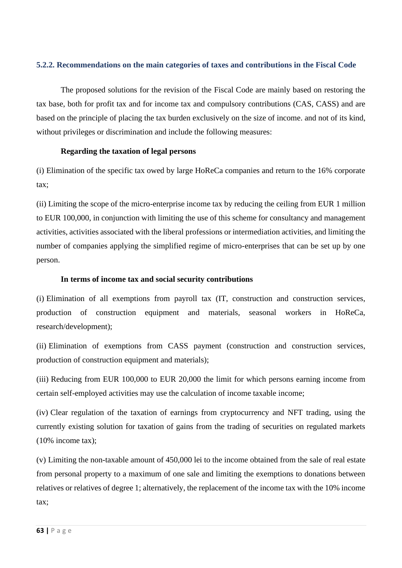#### **5.2.2. Recommendations on the main categories of taxes and contributions in the Fiscal Code**

The proposed solutions for the revision of the Fiscal Code are mainly based on restoring the tax base, both for profit tax and for income tax and compulsory contributions (CAS, CASS) and are based on the principle of placing the tax burden exclusively on the size of income. and not of its kind, without privileges or discrimination and include the following measures:

#### **Regarding the taxation of legal persons**

(i) Elimination of the specific tax owed by large HoReCa companies and return to the 16% corporate tax;

(ii) Limiting the scope of the micro-enterprise income tax by reducing the ceiling from EUR 1 million to EUR 100,000, in conjunction with limiting the use of this scheme for consultancy and management activities, activities associated with the liberal professions or intermediation activities, and limiting the number of companies applying the simplified regime of micro-enterprises that can be set up by one person.

#### **In terms of income tax and social security contributions**

(i) Elimination of all exemptions from payroll tax (IT, construction and construction services, production of construction equipment and materials, seasonal workers in HoReCa, research/development);

(ii) Elimination of exemptions from CASS payment (construction and construction services, production of construction equipment and materials);

(iii) Reducing from EUR 100,000 to EUR 20,000 the limit for which persons earning income from certain self-employed activities may use the calculation of income taxable income;

(iv) Clear regulation of the taxation of earnings from cryptocurrency and NFT trading, using the currently existing solution for taxation of gains from the trading of securities on regulated markets (10% income tax);

(v) Limiting the non-taxable amount of 450,000 lei to the income obtained from the sale of real estate from personal property to a maximum of one sale and limiting the exemptions to donations between relatives or relatives of degree 1; alternatively, the replacement of the income tax with the 10% income tax;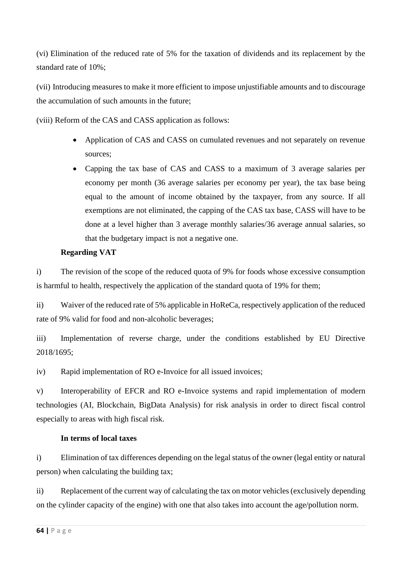(vi) Elimination of the reduced rate of 5% for the taxation of dividends and its replacement by the standard rate of 10%;

(vii) Introducing measures to make it more efficient to impose unjustifiable amounts and to discourage the accumulation of such amounts in the future;

(viii) Reform of the CAS and CASS application as follows:

- Application of CAS and CASS on cumulated revenues and not separately on revenue sources;
- Capping the tax base of CAS and CASS to a maximum of 3 average salaries per economy per month (36 average salaries per economy per year), the tax base being equal to the amount of income obtained by the taxpayer, from any source. If all exemptions are not eliminated, the capping of the CAS tax base, CASS will have to be done at a level higher than 3 average monthly salaries/36 average annual salaries, so that the budgetary impact is not a negative one.

#### **Regarding VAT**

i) The revision of the scope of the reduced quota of 9% for foods whose excessive consumption is harmful to health, respectively the application of the standard quota of 19% for them;

ii) Waiver of the reduced rate of 5% applicable in HoReCa, respectively application of the reduced rate of 9% valid for food and non-alcoholic beverages;

iii) Implementation of reverse charge, under the conditions established by EU Directive 2018/1695;

iv) Rapid implementation of RO e-Invoice for all issued invoices;

v) Interoperability of EFCR and RO e-Invoice systems and rapid implementation of modern technologies (AI, Blockchain, BigData Analysis) for risk analysis in order to direct fiscal control especially to areas with high fiscal risk.

#### **In terms of local taxes**

i) Elimination of tax differences depending on the legal status of the owner (legal entity or natural person) when calculating the building tax;

ii) Replacement of the current way of calculating the tax on motor vehicles (exclusively depending on the cylinder capacity of the engine) with one that also takes into account the age/pollution norm.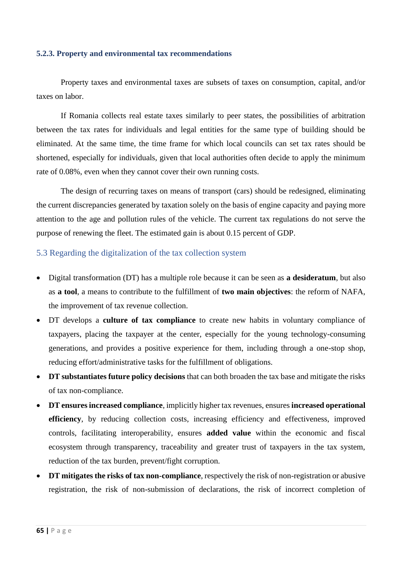#### **5.2.3. Property and environmental tax recommendations**

Property taxes and environmental taxes are subsets of taxes on consumption, capital, and/or taxes on labor.

If Romania collects real estate taxes similarly to peer states, the possibilities of arbitration between the tax rates for individuals and legal entities for the same type of building should be eliminated. At the same time, the time frame for which local councils can set tax rates should be shortened, especially for individuals, given that local authorities often decide to apply the minimum rate of 0.08%, even when they cannot cover their own running costs.

The design of recurring taxes on means of transport (cars) should be redesigned, eliminating the current discrepancies generated by taxation solely on the basis of engine capacity and paying more attention to the age and pollution rules of the vehicle. The current tax regulations do not serve the purpose of renewing the fleet. The estimated gain is about 0.15 percent of GDP.

#### <span id="page-64-0"></span>5.3 Regarding the digitalization of the tax collection system

- Digital transformation (DT) has a multiple role because it can be seen as **a desideratum**, but also as **a tool**, a means to contribute to the fulfillment of **two main objectives**: the reform of NAFA, the improvement of tax revenue collection.
- DT develops a **culture of tax compliance** to create new habits in voluntary compliance of taxpayers, placing the taxpayer at the center, especially for the young technology-consuming generations, and provides a positive experience for them, including through a one-stop shop, reducing effort/administrative tasks for the fulfillment of obligations.
- **DT substantiates future policy decisions** that can both broaden the tax base and mitigate the risks of tax non-compliance.
- **DT ensures increased compliance**, implicitly higher tax revenues, ensures **increased operational efficiency**, by reducing collection costs, increasing efficiency and effectiveness, improved controls, facilitating interoperability, ensures **added value** within the economic and fiscal ecosystem through transparency, traceability and greater trust of taxpayers in the tax system, reduction of the tax burden, prevent/fight corruption.
- **DT mitigates the risks of tax non-compliance**, respectively the risk of non-registration or abusive registration, the risk of non-submission of declarations, the risk of incorrect completion of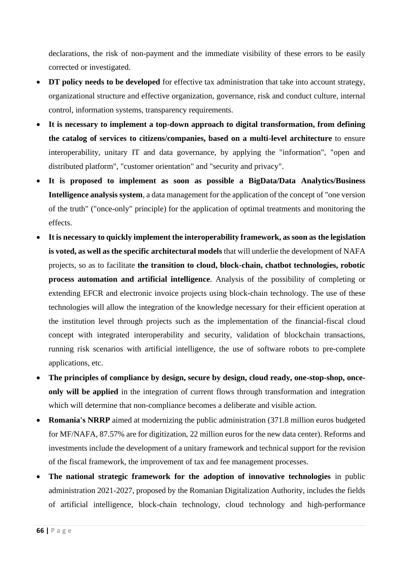declarations, the risk of non-payment and the immediate visibility of these errors to be easily corrected or investigated.

- **DT** policy needs to be developed for effective tax administration that take into account strategy, organizational structure and effective organization, governance, risk and conduct culture, internal control, information systems, transparency requirements.
- **It is necessary to implement a top-down approach to digital transformation, from defining the catalog of services to citizens/companies, based on a multi-level architecture** to ensure interoperability, unitary IT and data governance, by applying the "information", "open and distributed platform", "customer orientation" and "security and privacy".
- **It is proposed to implement as soon as possible a BigData/Data Analytics/Business Intelligence analysis system**, a data management for the application of the concept of "one version of the truth" ("once-only" principle) for the application of optimal treatments and monitoring the effects.
- **It is necessary to quickly implement the interoperability framework, as soon as the legislation is voted, as well as the specific architectural models** that will underlie the development of NAFA projects, so as to facilitate **the transition to cloud, block-chain, chatbot technologies, robotic process automation and artificial intelligence**. Analysis of the possibility of completing or extending EFCR and electronic invoice projects using block-chain technology. The use of these technologies will allow the integration of the knowledge necessary for their efficient operation at the institution level through projects such as the implementation of the financial-fiscal cloud concept with integrated interoperability and security, validation of blockchain transactions, running risk scenarios with artificial intelligence, the use of software robots to pre-complete applications, etc.
- **The principles of compliance by design, secure by design, cloud ready, one-stop-shop, onceonly will be applied** in the integration of current flows through transformation and integration which will determine that non-compliance becomes a deliberate and visible action.
- **Romania's NRRP** aimed at modernizing the public administration (371.8 million euros budgeted for MF/NAFA, 87.57% are for digitization, 22 million euros for the new data center). Reforms and investments include the development of a unitary framework and technical support for the revision of the fiscal framework, the improvement of tax and fee management processes.
- **The national strategic framework for the adoption of innovative technologies** in public administration 2021-2027, proposed by the Romanian Digitalization Authority, includes the fields of artificial intelligence, block-chain technology, cloud technology and high-performance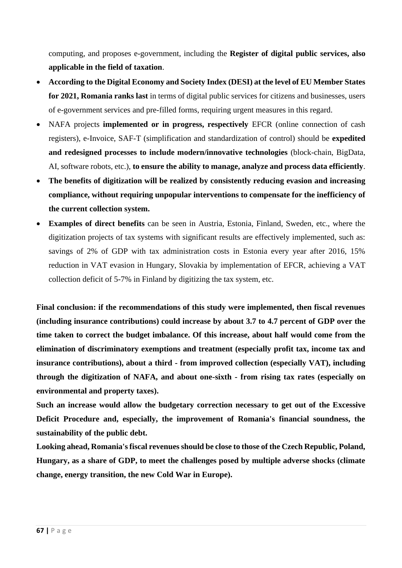computing, and proposes e-government, including the **Register of digital public services, also applicable in the field of taxation**.

- **According to the Digital Economy and Society Index (DESI) at the level of EU Member States for 2021, Romania ranks last** in terms of digital public services for citizens and businesses, users of e-government services and pre-filled forms, requiring urgent measures in this regard.
- NAFA projects **implemented or in progress, respectively** EFCR (online connection of cash registers), e-Invoice, SAF-T (simplification and standardization of control) should be **expedited and redesigned processes to include modern/innovative technologies** (block-chain, BigData, AI, software robots, etc.), **to ensure the ability to manage, analyze and process data efficiently**.
- **The benefits of digitization will be realized by consistently reducing evasion and increasing compliance, without requiring unpopular interventions to compensate for the inefficiency of the current collection system.**
- **Examples of direct benefits** can be seen in Austria, Estonia, Finland, Sweden, etc., where the digitization projects of tax systems with significant results are effectively implemented, such as: savings of 2% of GDP with tax administration costs in Estonia every year after 2016, 15% reduction in VAT evasion in Hungary, Slovakia by implementation of EFCR, achieving a VAT collection deficit of 5-7% in Finland by digitizing the tax system, etc.

**Final conclusion: if the recommendations of this study were implemented, then fiscal revenues (including insurance contributions) could increase by about 3.7 to 4.7 percent of GDP over the time taken to correct the budget imbalance. Of this increase, about half would come from the elimination of discriminatory exemptions and treatment (especially profit tax, income tax and insurance contributions), about a third - from improved collection (especially VAT), including through the digitization of NAFA, and about one-sixth - from rising tax rates (especially on environmental and property taxes).**

**Such an increase would allow the budgetary correction necessary to get out of the Excessive Deficit Procedure and, especially, the improvement of Romania's financial soundness, the sustainability of the public debt.**

**Looking ahead, Romania's fiscal revenues should be close to those of the Czech Republic, Poland, Hungary, as a share of GDP, to meet the challenges posed by multiple adverse shocks (climate change, energy transition, the new Cold War in Europe).**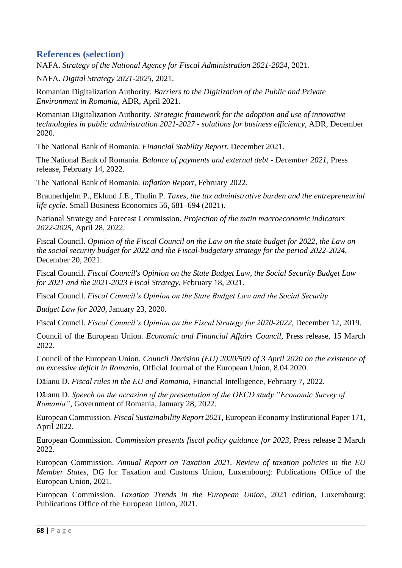### <span id="page-67-0"></span>**References (selection)**

NAFA. *Strategy of the National Agency for Fiscal Administration 2021-2024*, 2021.

NAFA. *Digital Strategy 2021-2025*, 2021.

Romanian Digitalization Authority. *Barriers to the Digitization of the Public and Private Environment in Romania*, ADR, April 2021.

Romanian Digitalization Authority. *Strategic framework for the adoption and use of innovative technologies in public administration 2021-2027 - solutions for business efficiency*, ADR, December 2020.

The National Bank of Romania. *Financial Stability Report*, December 2021.

The National Bank of Romania. *Balance of payments and external debt - December 2021*, Press release, February 14, 2022.

The National Bank of Romania. *Inflation Report*, February 2022.

Braunerhjelm P., Eklund J.E., Thulin P. *Taxes, the tax administrative burden and the entrepreneurial life cycle*. Small Business Economics 56, 681–694 (2021).

National Strategy and Forecast Commission. *Projection of the main macroeconomic indicators 2022-2025*, April 28, 2022.

Fiscal Council. *Opinion of the Fiscal Council on the Law on the state budget for 2022, the Law on the social security budget for 2022 and the Fiscal-budgetary strategy for the period 2022-2024*, December 20, 2021.

Fiscal Council. *Fiscal Council's Opinion on the State Budget Law, the Social Security Budget Law for 2021 and the 2021-2023 Fiscal Strategy*, February 18, 2021.

Fiscal Council. *Fiscal Council's Opinion on the State Budget Law and the Social Security*

*Budget Law for 2020*, January 23, 2020.

Fiscal Council. *Fiscal Council's Opinion on the Fiscal Strategy for 2020-2022*, December 12, 2019.

Council of the European Union. *Economic and Financial Affairs Council*, Press release, 15 March 2022.

Council of the European Union. *Council Decision (EU) 2020/509 of 3 April 2020 on the existence of an excessive deficit in Romania*, Official Journal of the European Union, 8.04.2020.

Dăianu D. *Fiscal rules in the EU and Romania*, Financial Intelligence, February 7, 2022.

Dăianu D. *Speech on the occasion of the presentation of the OECD study "Economic Survey of Romania"*, Government of Romania, January 28, 2022.

European Commission. *Fiscal Sustainability Report 2021*, European Economy Institutional Paper 171, April 2022.

European Commission. *Commission presents fiscal policy guidance for 2023*, Press release 2 March 2022.

European Commission. *Annual Report on Taxation 2021. Review of taxation policies in the EU Member States*, DG for Taxation and Customs Union, Luxembourg: Publications Office of the European Union, 2021.

European Commission. *Taxation Trends in the European Union*, 2021 edition, Luxembourg: Publications Office of the European Union, 2021.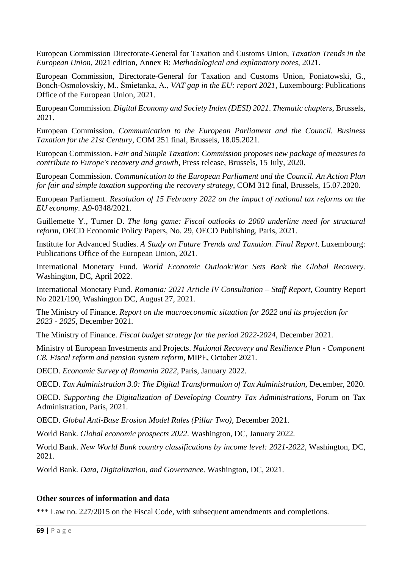European Commission Directorate-General for Taxation and Customs Union, *Taxation Trends in the European Union*, 2021 edition, Annex B: *Methodological and explanatory notes*, 2021.

European Commission, Directorate-General for Taxation and Customs Union, Poniatowski, G., Bonch-Osmolovskiy, M., Śmietanka, A., *VAT gap in the EU: report 2021*, Luxembourg: Publications Office of the European Union, 2021.

European Commission. *Digital Economy and Society Index (DESI) 2021*. *Thematic chapters*, Brussels, 2021.

European Commission. *Communication to the European Parliament and the Council. Business Taxation for the 21st Century*, COM 251 final, Brussels, 18.05.2021.

European Commission. *Fair and Simple Taxation: Commission proposes new package of measures to contribute to Europe's recovery and growth*, Press release, Brussels, 15 July, 2020.

European Commission. *Communication to the European Parliament and the Council. An Action Plan for fair and simple taxation supporting the recovery strategy*, COM 312 final, Brussels, 15.07.2020.

European Parliament. *Resolution of 15 February 2022 on the impact of national tax reforms on the EU economy*. A9-0348/2021.

Guillemette Y., Turner D. *The long game: Fiscal outlooks to 2060 underline need for structural reform*, OECD Economic Policy Papers, No. 29, OECD Publishing, Paris, 2021.

Institute for Advanced Studies. *A Study on Future Trends and Taxation. Final Report*, Luxembourg: Publications Office of the European Union, 2021.

International Monetary Fund. *World Economic Outlook:War Sets Back the Global Recovery.*  Washington, DC, April 2022.

International Monetary Fund. *Romania: 2021 Article IV Consultation – Staff Report*, Country Report No 2021/190, Washington DC, August 27, 2021.

The Ministry of Finance. *Report on the macroeconomic situation for 2022 and its projection for 2023 - 2025*, December 2021.

The Ministry of Finance. *Fiscal budget strategy for the period 2022-2024*, December 2021.

Ministry of European Investments and Projects. *National Recovery and Resilience Plan - Component C8. Fiscal reform and pension system reform*, MIPE, October 2021.

OECD. *Economic Survey of Romania 2022*, Paris, January 2022.

OECD. *Tax Administration 3.0: The Digital Transformation of Tax Administration,* December, 2020.

OECD. *Supporting the Digitalization of Developing Country Tax Administrations*, Forum on Tax Administration, Paris, 2021.

OECD. *Global Anti-Base Erosion Model Rules (Pillar Two)*, December 2021.

World Bank. *Global economic prospects 2022*. Washington, DC, January 2022*.* 

World Bank. *New World Bank country classifications by income level: 2021-2022*, Washington, DC, 2021.

World Bank. *Data, Digitalization, and Governance*. Washington, DC, 2021.

#### **Other sources of information and data**

\*\*\* Law no. 227/2015 on the Fiscal Code, with subsequent amendments and completions.